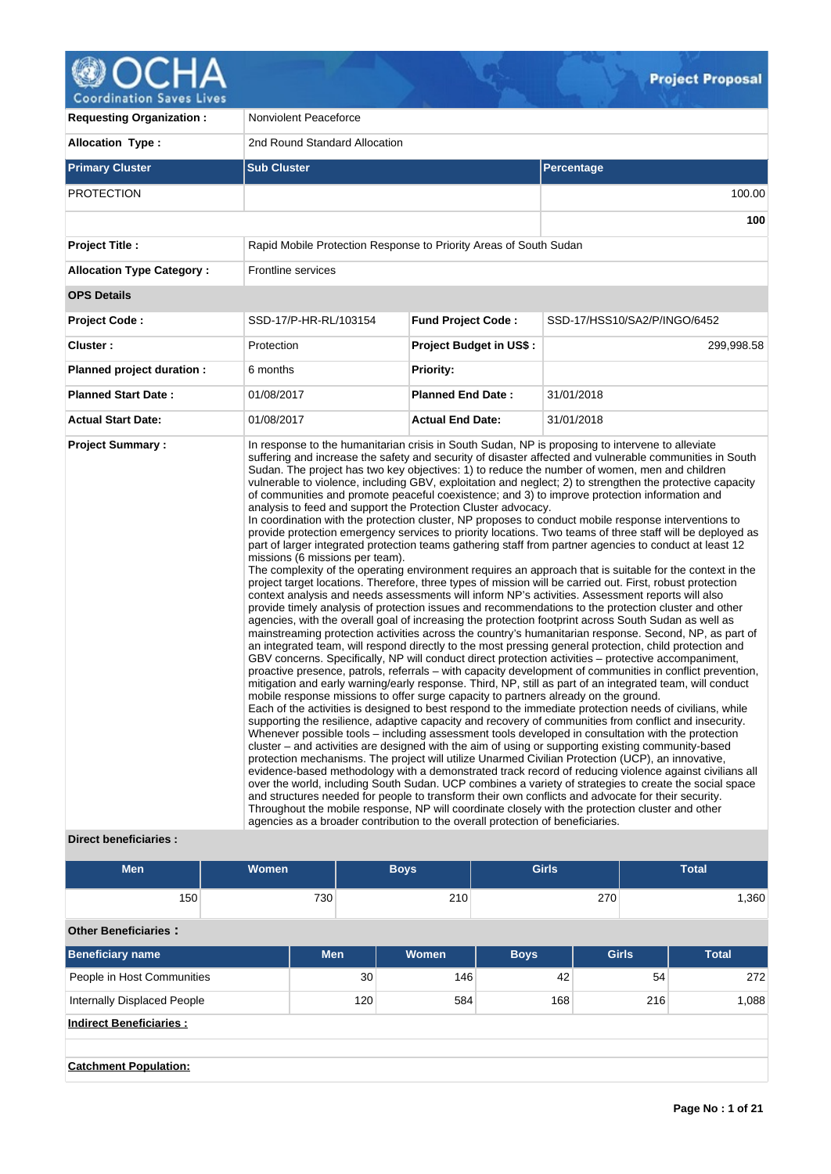

**Requesting Organization : Nonviolent Peaceforce Allocation Type :** 2nd Round Standard Allocation **Primary Cluster Sub Cluster Sub Cluster** Sub Cluster Sub Cluster Sub Cluster Sub Cluster Sub Cluster Sub Cluster PROTECTION 100.00 **100 Project Title :** Rapid Mobile Protection Response to Priority Areas of South Sudan **Allocation Type Category :** Frontline services **OPS Details Project Code :** SSD-17/P-HR-RL/103154 **Fund Project Code :** SSD-17/HSS10/SA2/P/INGO/6452 **Cluster :** 299,998.58 **Protection Project Budget in US\$ :** 299,998.58 **Planned project duration :** 6 months **Planned Priority: Planned Start Date :** 01/08/2017 **Planned End Date :** 31/01/2018 **Actual Start Date:** 01/08/2017 **Actual End Date:** 31/01/2018 **Project Summary :** In response to the humanitarian crisis in South Sudan, NP is proposing to intervene to alleviate suffering and increase the safety and security of disaster affected and vulnerable communities in South Sudan. The project has two key objectives: 1) to reduce the number of women, men and children vulnerable to violence, including GBV, exploitation and neglect; 2) to strengthen the protective capacity of communities and promote peaceful coexistence; and 3) to improve protection information and analysis to feed and support the Protection Cluster advocacy. In coordination with the protection cluster, NP proposes to conduct mobile response interventions to provide protection emergency services to priority locations. Two teams of three staff will be deployed as part of larger integrated protection teams gathering staff from partner agencies to conduct at least 12 missions (6 missions per team). The complexity of the operating environment requires an approach that is suitable for the context in the project target locations. Therefore, three types of mission will be carried out. First, robust protection context analysis and needs assessments will inform NP's activities. Assessment reports will also provide timely analysis of protection issues and recommendations to the protection cluster and other agencies, with the overall goal of increasing the protection footprint across South Sudan as well as mainstreaming protection activities across the country's humanitarian response. Second, NP, as part of an integrated team, will respond directly to the most pressing general protection, child protection and GBV concerns. Specifically, NP will conduct direct protection activities – protective accompaniment, proactive presence, patrols, referrals – with capacity development of communities in conflict prevention, mitigation and early warning/early response. Third, NP, still as part of an integrated team, will conduct mobile response missions to offer surge capacity to partners already on the ground. Each of the activities is designed to best respond to the immediate protection needs of civilians, while supporting the resilience, adaptive capacity and recovery of communities from conflict and insecurity. Whenever possible tools – including assessment tools developed in consultation with the protection cluster – and activities are designed with the aim of using or supporting existing community-based protection mechanisms. The project will utilize Unarmed Civilian Protection (UCP), an innovative, evidence-based methodology with a demonstrated track record of reducing violence against civilians all over the world, including South Sudan. UCP combines a variety of strategies to create the social space and structures needed for people to transform their own conflicts and advocate for their security. Throughout the mobile response, NP will coordinate closely with the protection cluster and other agencies as a broader contribution to the overall protection of beneficiaries.

# **Direct beneficiaries :**

| <b>Men</b>                         | <b>Women</b> |            | <b>Girls</b><br><b>Boys</b> |       |             |              |     | <b>Total</b> |
|------------------------------------|--------------|------------|-----------------------------|-------|-------------|--------------|-----|--------------|
| 150                                |              | 730        |                             | 210   | 270         |              |     | 1,360        |
| <b>Other Beneficiaries:</b>        |              |            |                             |       |             |              |     |              |
| <b>Beneficiary name</b>            |              | <b>Men</b> |                             | Women | <b>Boys</b> | <b>Girls</b> |     | <b>Total</b> |
| People in Host Communities         |              | 30         |                             | 146   | 42          | 54           |     | 272          |
| <b>Internally Displaced People</b> |              |            | 120                         | 584   | 168         |              | 216 | 1,088        |
| <b>Indirect Beneficiaries:</b>     |              |            |                             |       |             |              |     |              |
|                                    |              |            |                             |       |             |              |     |              |
| <b>Catchment Population:</b>       |              |            |                             |       |             |              |     |              |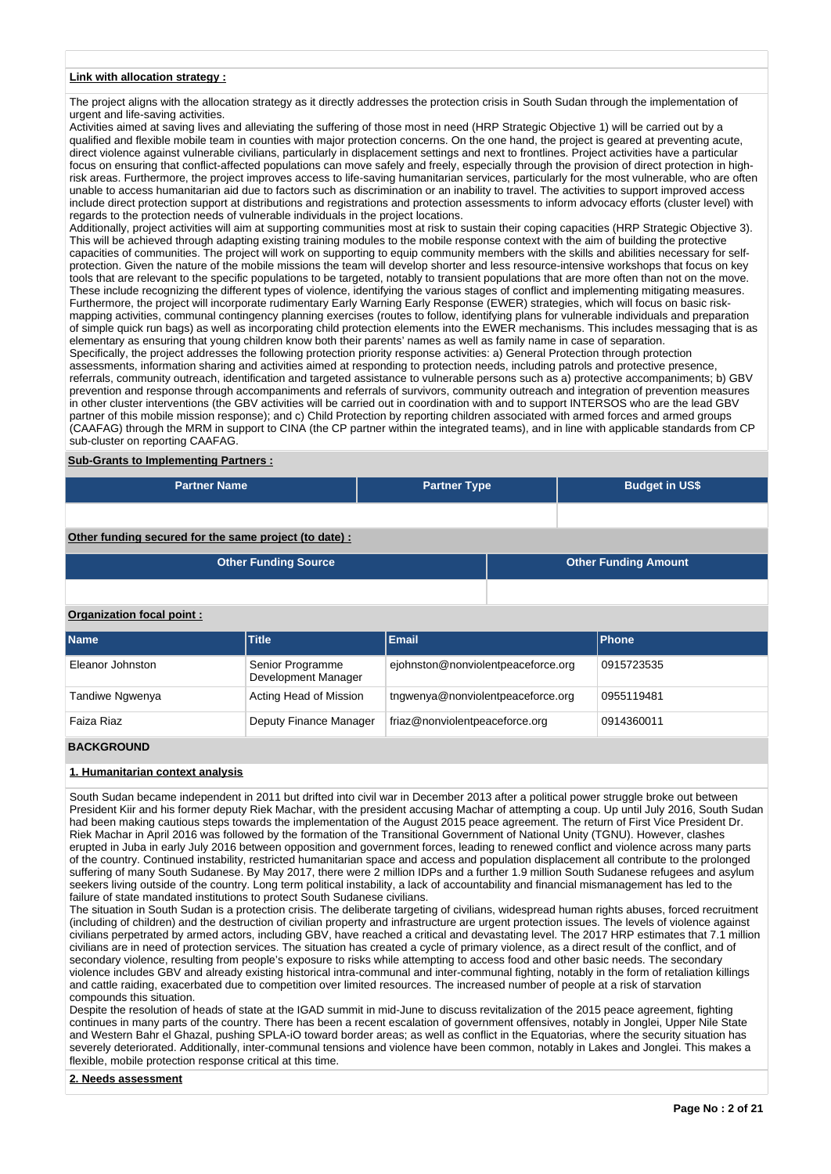### **Link with allocation strategy :**

The project aligns with the allocation strategy as it directly addresses the protection crisis in South Sudan through the implementation of urgent and life-saving activities.

Activities aimed at saving lives and alleviating the suffering of those most in need (HRP Strategic Objective 1) will be carried out by a qualified and flexible mobile team in counties with major protection concerns. On the one hand, the project is geared at preventing acute, direct violence against vulnerable civilians, particularly in displacement settings and next to frontlines. Project activities have a particular focus on ensuring that conflict-affected populations can move safely and freely, especially through the provision of direct protection in highrisk areas. Furthermore, the project improves access to life-saving humanitarian services, particularly for the most vulnerable, who are often unable to access humanitarian aid due to factors such as discrimination or an inability to travel. The activities to support improved access include direct protection support at distributions and registrations and protection assessments to inform advocacy efforts (cluster level) with regards to the protection needs of vulnerable individuals in the project locations.

Additionally, project activities will aim at supporting communities most at risk to sustain their coping capacities (HRP Strategic Objective 3). This will be achieved through adapting existing training modules to the mobile response context with the aim of building the protective capacities of communities. The project will work on supporting to equip community members with the skills and abilities necessary for selfprotection. Given the nature of the mobile missions the team will develop shorter and less resource-intensive workshops that focus on key tools that are relevant to the specific populations to be targeted, notably to transient populations that are more often than not on the move. These include recognizing the different types of violence, identifying the various stages of conflict and implementing mitigating measures. Furthermore, the project will incorporate rudimentary Early Warning Early Response (EWER) strategies, which will focus on basic riskmapping activities, communal contingency planning exercises (routes to follow, identifying plans for vulnerable individuals and preparation of simple quick run bags) as well as incorporating child protection elements into the EWER mechanisms. This includes messaging that is as elementary as ensuring that young children know both their parents' names as well as family name in case of separation.

Specifically, the project addresses the following protection priority response activities: a) General Protection through protection assessments, information sharing and activities aimed at responding to protection needs, including patrols and protective presence, referrals, community outreach, identification and targeted assistance to vulnerable persons such as a) protective accompaniments; b) GBV prevention and response through accompaniments and referrals of survivors, community outreach and integration of prevention measures in other cluster interventions (the GBV activities will be carried out in coordination with and to support INTERSOS who are the lead GBV partner of this mobile mission response); and c) Child Protection by reporting children associated with armed forces and armed groups (CAAFAG) through the MRM in support to CINA (the CP partner within the integrated teams), and in line with applicable standards from CP sub-cluster on reporting CAAFAG.

#### **Sub-Grants to Implementing Partners :**

| <b>Partner Name</b>                                  | <b>Partner Type</b> | <b>Budget in US\$</b> |  |  |  |  |  |
|------------------------------------------------------|---------------------|-----------------------|--|--|--|--|--|
|                                                      |                     |                       |  |  |  |  |  |
| Other funding convention the come nucleat (to dota). |                     |                       |  |  |  |  |  |

**Other funding secured for the same project (to date) :**

| <b>Other Funding Source</b> | <b>Other Funding Amount</b> |
|-----------------------------|-----------------------------|
|                             |                             |

## **Organization focal point :**

| <b>Name</b>      | <b>Title</b>                            | <b>Email</b>                       | Phone      |
|------------------|-----------------------------------------|------------------------------------|------------|
| Eleanor Johnston | Senior Programme<br>Development Manager | ejohnston@nonviolentpeaceforce.org | 0915723535 |
| Tandiwe Ngwenya  | Acting Head of Mission                  | tngwenya@nonviolentpeaceforce.org  | 0955119481 |
| Faiza Riaz       | Deputy Finance Manager                  | friaz@nonviolentpeaceforce.org     | 0914360011 |

### **BACKGROUND**

## **1. Humanitarian context analysis**

South Sudan became independent in 2011 but drifted into civil war in December 2013 after a political power struggle broke out between President Kiir and his former deputy Riek Machar, with the president accusing Machar of attempting a coup. Up until July 2016, South Sudan had been making cautious steps towards the implementation of the August 2015 peace agreement. The return of First Vice President Dr. Riek Machar in April 2016 was followed by the formation of the Transitional Government of National Unity (TGNU). However, clashes erupted in Juba in early July 2016 between opposition and government forces, leading to renewed conflict and violence across many parts of the country. Continued instability, restricted humanitarian space and access and population displacement all contribute to the prolonged suffering of many South Sudanese. By May 2017, there were 2 million IDPs and a further 1.9 million South Sudanese refugees and asylum seekers living outside of the country. Long term political instability, a lack of accountability and financial mismanagement has led to the failure of state mandated institutions to protect South Sudanese civilians.

The situation in South Sudan is a protection crisis. The deliberate targeting of civilians, widespread human rights abuses, forced recruitment (including of children) and the destruction of civilian property and infrastructure are urgent protection issues. The levels of violence against civilians perpetrated by armed actors, including GBV, have reached a critical and devastating level. The 2017 HRP estimates that 7.1 million civilians are in need of protection services. The situation has created a cycle of primary violence, as a direct result of the conflict, and of secondary violence, resulting from people's exposure to risks while attempting to access food and other basic needs. The secondary violence includes GBV and already existing historical intra-communal and inter-communal fighting, notably in the form of retaliation killings and cattle raiding, exacerbated due to competition over limited resources. The increased number of people at a risk of starvation compounds this situation.

Despite the resolution of heads of state at the IGAD summit in mid-June to discuss revitalization of the 2015 peace agreement, fighting continues in many parts of the country. There has been a recent escalation of government offensives, notably in Jonglei, Upper Nile State and Western Bahr el Ghazal, pushing SPLA-iO toward border areas; as well as conflict in the Equatorias, where the security situation has severely deteriorated. Additionally, inter-communal tensions and violence have been common, notably in Lakes and Jonglei. This makes a flexible, mobile protection response critical at this time.

#### **2. Needs assessment**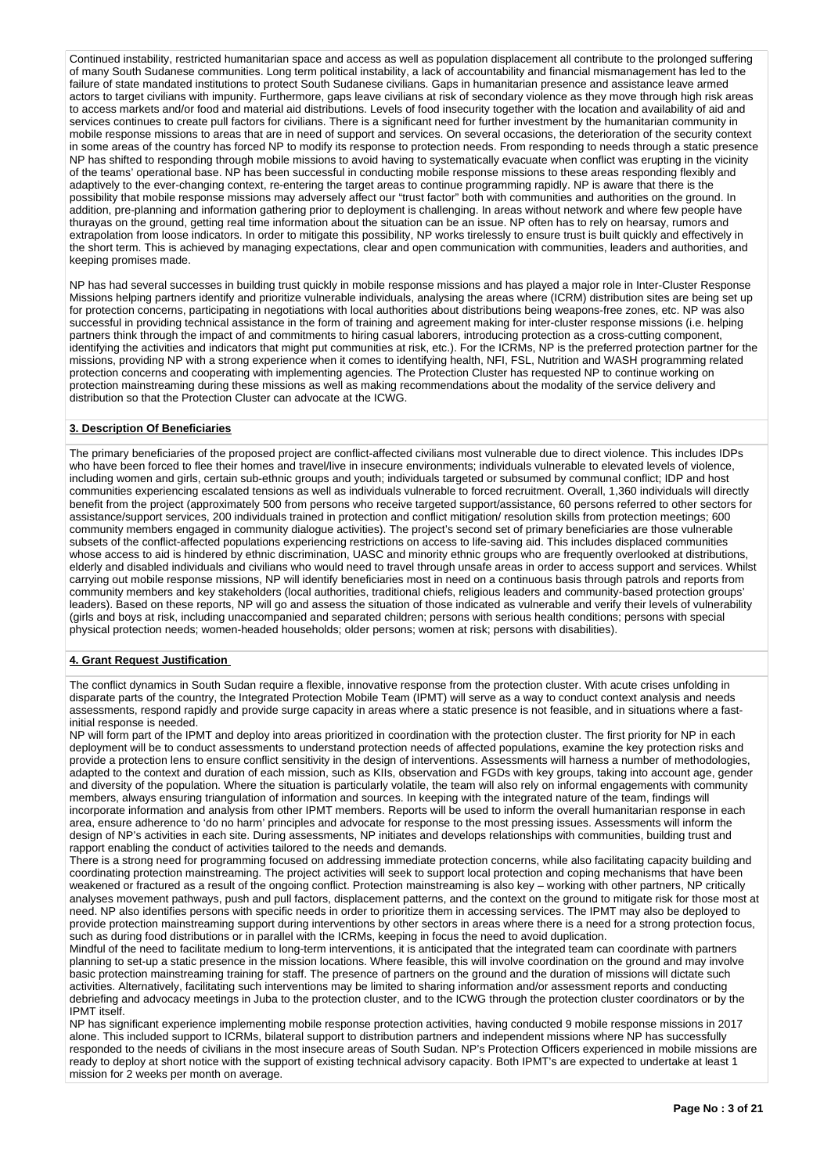Continued instability, restricted humanitarian space and access as well as population displacement all contribute to the prolonged suffering of many South Sudanese communities. Long term political instability, a lack of accountability and financial mismanagement has led to the failure of state mandated institutions to protect South Sudanese civilians. Gaps in humanitarian presence and assistance leave armed actors to target civilians with impunity. Furthermore, gaps leave civilians at risk of secondary violence as they move through high risk areas to access markets and/or food and material aid distributions. Levels of food insecurity together with the location and availability of aid and services continues to create pull factors for civilians. There is a significant need for further investment by the humanitarian community in mobile response missions to areas that are in need of support and services. On several occasions, the deterioration of the security context in some areas of the country has forced NP to modify its response to protection needs. From responding to needs through a static presence NP has shifted to responding through mobile missions to avoid having to systematically evacuate when conflict was erupting in the vicinity of the teams' operational base. NP has been successful in conducting mobile response missions to these areas responding flexibly and adaptively to the ever-changing context, re-entering the target areas to continue programming rapidly. NP is aware that there is the possibility that mobile response missions may adversely affect our "trust factor" both with communities and authorities on the ground. In addition, pre-planning and information gathering prior to deployment is challenging. In areas without network and where few people have thurayas on the ground, getting real time information about the situation can be an issue. NP often has to rely on hearsay, rumors and extrapolation from loose indicators. In order to mitigate this possibility, NP works tirelessly to ensure trust is built quickly and effectively in the short term. This is achieved by managing expectations, clear and open communication with communities, leaders and authorities, and keeping promises made.

NP has had several successes in building trust quickly in mobile response missions and has played a major role in Inter-Cluster Response Missions helping partners identify and prioritize vulnerable individuals, analysing the areas where (ICRM) distribution sites are being set up for protection concerns, participating in negotiations with local authorities about distributions being weapons-free zones, etc. NP was also successful in providing technical assistance in the form of training and agreement making for inter-cluster response missions (i.e. helping partners think through the impact of and commitments to hiring casual laborers, introducing protection as a cross-cutting component, identifying the activities and indicators that might put communities at risk, etc.). For the ICRMs, NP is the preferred protection partner for the missions, providing NP with a strong experience when it comes to identifying health, NFI, FSL, Nutrition and WASH programming related protection concerns and cooperating with implementing agencies. The Protection Cluster has requested NP to continue working on protection mainstreaming during these missions as well as making recommendations about the modality of the service delivery and distribution so that the Protection Cluster can advocate at the ICWG.

## **3. Description Of Beneficiaries**

The primary beneficiaries of the proposed project are conflict-affected civilians most vulnerable due to direct violence. This includes IDPs who have been forced to flee their homes and travel/live in insecure environments; individuals vulnerable to elevated levels of violence, including women and girls, certain sub-ethnic groups and youth; individuals targeted or subsumed by communal conflict; IDP and host communities experiencing escalated tensions as well as individuals vulnerable to forced recruitment. Overall, 1,360 individuals will directly benefit from the project (approximately 500 from persons who receive targeted support/assistance, 60 persons referred to other sectors for assistance/support services, 200 individuals trained in protection and conflict mitigation/ resolution skills from protection meetings; 600 community members engaged in community dialogue activities). The project's second set of primary beneficiaries are those vulnerable subsets of the conflict-affected populations experiencing restrictions on access to life-saving aid. This includes displaced communities whose access to aid is hindered by ethnic discrimination, UASC and minority ethnic groups who are frequently overlooked at distributions, elderly and disabled individuals and civilians who would need to travel through unsafe areas in order to access support and services. Whilst carrying out mobile response missions, NP will identify beneficiaries most in need on a continuous basis through patrols and reports from community members and key stakeholders (local authorities, traditional chiefs, religious leaders and community-based protection groups' leaders). Based on these reports, NP will go and assess the situation of those indicated as vulnerable and verify their levels of vulnerability (girls and boys at risk, including unaccompanied and separated children; persons with serious health conditions; persons with special physical protection needs; women-headed households; older persons; women at risk; persons with disabilities).

### **4. Grant Request Justification**

The conflict dynamics in South Sudan require a flexible, innovative response from the protection cluster. With acute crises unfolding in disparate parts of the country, the Integrated Protection Mobile Team (IPMT) will serve as a way to conduct context analysis and needs assessments, respond rapidly and provide surge capacity in areas where a static presence is not feasible, and in situations where a fastinitial response is needed.

NP will form part of the IPMT and deploy into areas prioritized in coordination with the protection cluster. The first priority for NP in each deployment will be to conduct assessments to understand protection needs of affected populations, examine the key protection risks and provide a protection lens to ensure conflict sensitivity in the design of interventions. Assessments will harness a number of methodologies, adapted to the context and duration of each mission, such as KIIs, observation and FGDs with key groups, taking into account age, gender and diversity of the population. Where the situation is particularly volatile, the team will also rely on informal engagements with community members, always ensuring triangulation of information and sources. In keeping with the integrated nature of the team, findings will incorporate information and analysis from other IPMT members. Reports will be used to inform the overall humanitarian response in each area, ensure adherence to 'do no harm' principles and advocate for response to the most pressing issues. Assessments will inform the design of NP's activities in each site. During assessments, NP initiates and develops relationships with communities, building trust and rapport enabling the conduct of activities tailored to the needs and demands.

There is a strong need for programming focused on addressing immediate protection concerns, while also facilitating capacity building and coordinating protection mainstreaming. The project activities will seek to support local protection and coping mechanisms that have been weakened or fractured as a result of the ongoing conflict. Protection mainstreaming is also key – working with other partners, NP critically analyses movement pathways, push and pull factors, displacement patterns, and the context on the ground to mitigate risk for those most at need. NP also identifies persons with specific needs in order to prioritize them in accessing services. The IPMT may also be deployed to provide protection mainstreaming support during interventions by other sectors in areas where there is a need for a strong protection focus, such as during food distributions or in parallel with the ICRMs, keeping in focus the need to avoid duplication.

Mindful of the need to facilitate medium to long-term interventions, it is anticipated that the integrated team can coordinate with partners planning to set-up a static presence in the mission locations. Where feasible, this will involve coordination on the ground and may involve basic protection mainstreaming training for staff. The presence of partners on the ground and the duration of missions will dictate such activities. Alternatively, facilitating such interventions may be limited to sharing information and/or assessment reports and conducting debriefing and advocacy meetings in Juba to the protection cluster, and to the ICWG through the protection cluster coordinators or by the IPMT itself.

NP has significant experience implementing mobile response protection activities, having conducted 9 mobile response missions in 2017 alone. This included support to ICRMs, bilateral support to distribution partners and independent missions where NP has successfully responded to the needs of civilians in the most insecure areas of South Sudan. NP's Protection Officers experienced in mobile missions are ready to deploy at short notice with the support of existing technical advisory capacity. Both IPMT's are expected to undertake at least 1 mission for 2 weeks per month on average.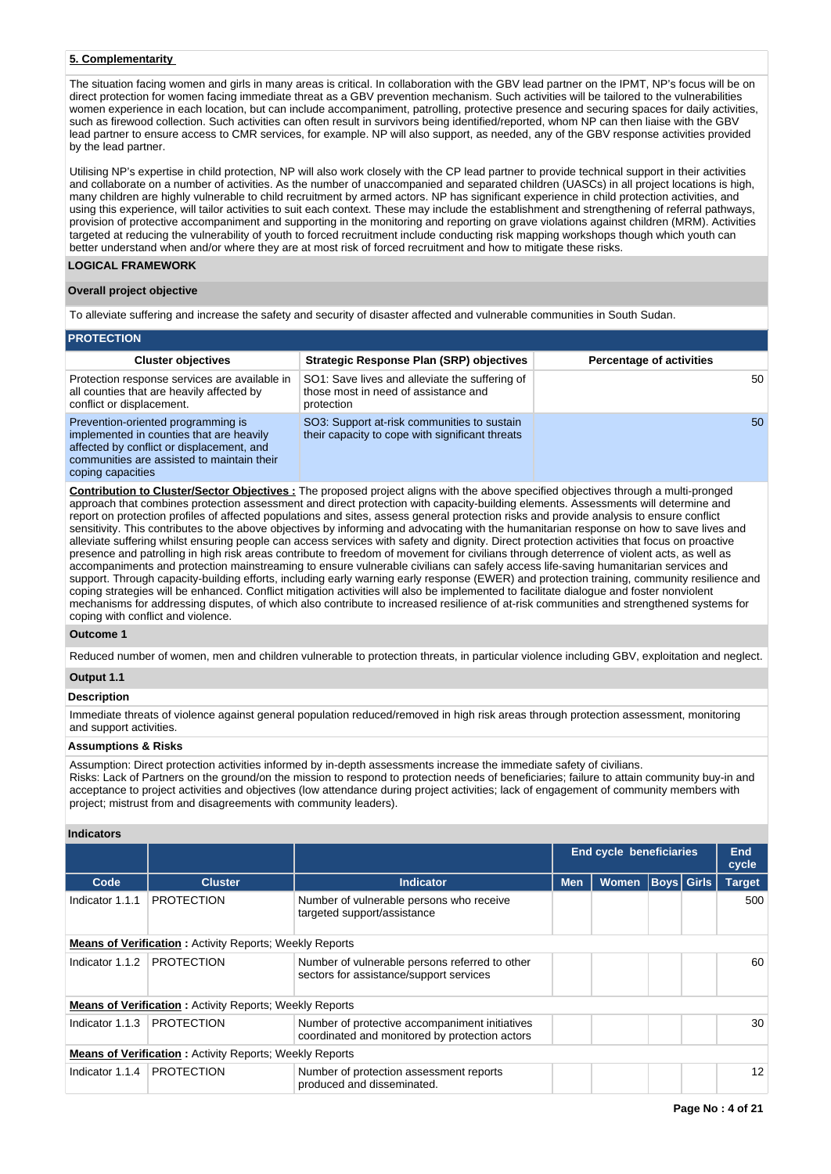## **5. Complementarity**

The situation facing women and girls in many areas is critical. In collaboration with the GBV lead partner on the IPMT, NP's focus will be on direct protection for women facing immediate threat as a GBV prevention mechanism. Such activities will be tailored to the vulnerabilities women experience in each location, but can include accompaniment, patrolling, protective presence and securing spaces for daily activities, such as firewood collection. Such activities can often result in survivors being identified/reported, whom NP can then liaise with the GBV lead partner to ensure access to CMR services, for example. NP will also support, as needed, any of the GBV response activities provided by the lead partner.

Utilising NP's expertise in child protection, NP will also work closely with the CP lead partner to provide technical support in their activities and collaborate on a number of activities. As the number of unaccompanied and separated children (UASCs) in all project locations is high, many children are highly vulnerable to child recruitment by armed actors. NP has significant experience in child protection activities, and using this experience, will tailor activities to suit each context. These may include the establishment and strengthening of referral pathways, provision of protective accompaniment and supporting in the monitoring and reporting on grave violations against children (MRM). Activities targeted at reducing the vulnerability of youth to forced recruitment include conducting risk mapping workshops though which youth can better understand when and/or where they are at most risk of forced recruitment and how to mitigate these risks.

## **LOGICAL FRAMEWORK**

## **Overall project objective**

To alleviate suffering and increase the safety and security of disaster affected and vulnerable communities in South Sudan.

| <b>PROTECTION</b>                                                                                                                                                         |                                                                                                      |                                 |  |  |  |  |  |  |  |  |
|---------------------------------------------------------------------------------------------------------------------------------------------------------------------------|------------------------------------------------------------------------------------------------------|---------------------------------|--|--|--|--|--|--|--|--|
| <b>Cluster objectives</b>                                                                                                                                                 | <b>Strategic Response Plan (SRP) objectives</b>                                                      | <b>Percentage of activities</b> |  |  |  |  |  |  |  |  |
| Protection response services are available in<br>all counties that are heavily affected by<br>conflict or displacement.                                                   | SO1: Save lives and alleviate the suffering of<br>those most in need of assistance and<br>protection | 50                              |  |  |  |  |  |  |  |  |
| Prevention-oriented programming is<br>implemented in counties that are heavily<br>affected by conflict or displacement, and<br>communities are assisted to maintain their | SO3: Support at-risk communities to sustain<br>their capacity to cope with significant threats       | 50                              |  |  |  |  |  |  |  |  |

coping capacities

**Contribution to Cluster/Sector Objectives :** The proposed project aligns with the above specified objectives through a multi-pronged approach that combines protection assessment and direct protection with capacity-building elements. Assessments will determine and report on protection profiles of affected populations and sites, assess general protection risks and provide analysis to ensure conflict sensitivity. This contributes to the above objectives by informing and advocating with the humanitarian response on how to save lives and alleviate suffering whilst ensuring people can access services with safety and dignity. Direct protection activities that focus on proactive presence and patrolling in high risk areas contribute to freedom of movement for civilians through deterrence of violent acts, as well as accompaniments and protection mainstreaming to ensure vulnerable civilians can safely access life-saving humanitarian services and support. Through capacity-building efforts, including early warning early response (EWER) and protection training, community resilience and coping strategies will be enhanced. Conflict mitigation activities will also be implemented to facilitate dialogue and foster nonviolent mechanisms for addressing disputes, of which also contribute to increased resilience of at-risk communities and strengthened systems for coping with conflict and violence.

## **Outcome 1**

Reduced number of women, men and children vulnerable to protection threats, in particular violence including GBV, exploitation and neglect.

# **Output 1.1**

## **Description**

Immediate threats of violence against general population reduced/removed in high risk areas through protection assessment, monitoring and support activities.

# **Assumptions & Risks**

Assumption: Direct protection activities informed by in-depth assessments increase the immediate safety of civilians. Risks: Lack of Partners on the ground/on the mission to respond to protection needs of beneficiaries; failure to attain community buy-in and acceptance to project activities and objectives (low attendance during project activities; lack of engagement of community members with project; mistrust from and disagreements with community leaders).

# **Indicators**

|                                                                |                                                                |                                                                                                  |            | <b>End cycle beneficiaries</b> |  |                   | End<br>cycle  |  |  |  |
|----------------------------------------------------------------|----------------------------------------------------------------|--------------------------------------------------------------------------------------------------|------------|--------------------------------|--|-------------------|---------------|--|--|--|
| Code                                                           | <b>Cluster</b>                                                 | <b>Indicator</b>                                                                                 | <b>Men</b> | <b>Women</b>                   |  | <b>Boys</b> Girls | <b>Target</b> |  |  |  |
| Indicator 1.1.1                                                | <b>PROTECTION</b>                                              | Number of vulnerable persons who receive<br>targeted support/assistance                          |            |                                |  |                   | 500           |  |  |  |
| <b>Means of Verification:</b> Activity Reports; Weekly Reports |                                                                |                                                                                                  |            |                                |  |                   |               |  |  |  |
| Indicator 1.1.2                                                | <b>PROTECTION</b>                                              | Number of vulnerable persons referred to other<br>sectors for assistance/support services        |            |                                |  |                   | 60            |  |  |  |
|                                                                | <b>Means of Verification:</b> Activity Reports; Weekly Reports |                                                                                                  |            |                                |  |                   |               |  |  |  |
| Indicator 1.1.3                                                | <b>PROTECTION</b>                                              | Number of protective accompaniment initiatives<br>coordinated and monitored by protection actors |            |                                |  |                   | 30            |  |  |  |
| <b>Means of Verification:</b> Activity Reports; Weekly Reports |                                                                |                                                                                                  |            |                                |  |                   |               |  |  |  |
| Indicator 1.1.4                                                | <b>PROTECTION</b>                                              | Number of protection assessment reports<br>produced and disseminated.                            |            |                                |  |                   | 12            |  |  |  |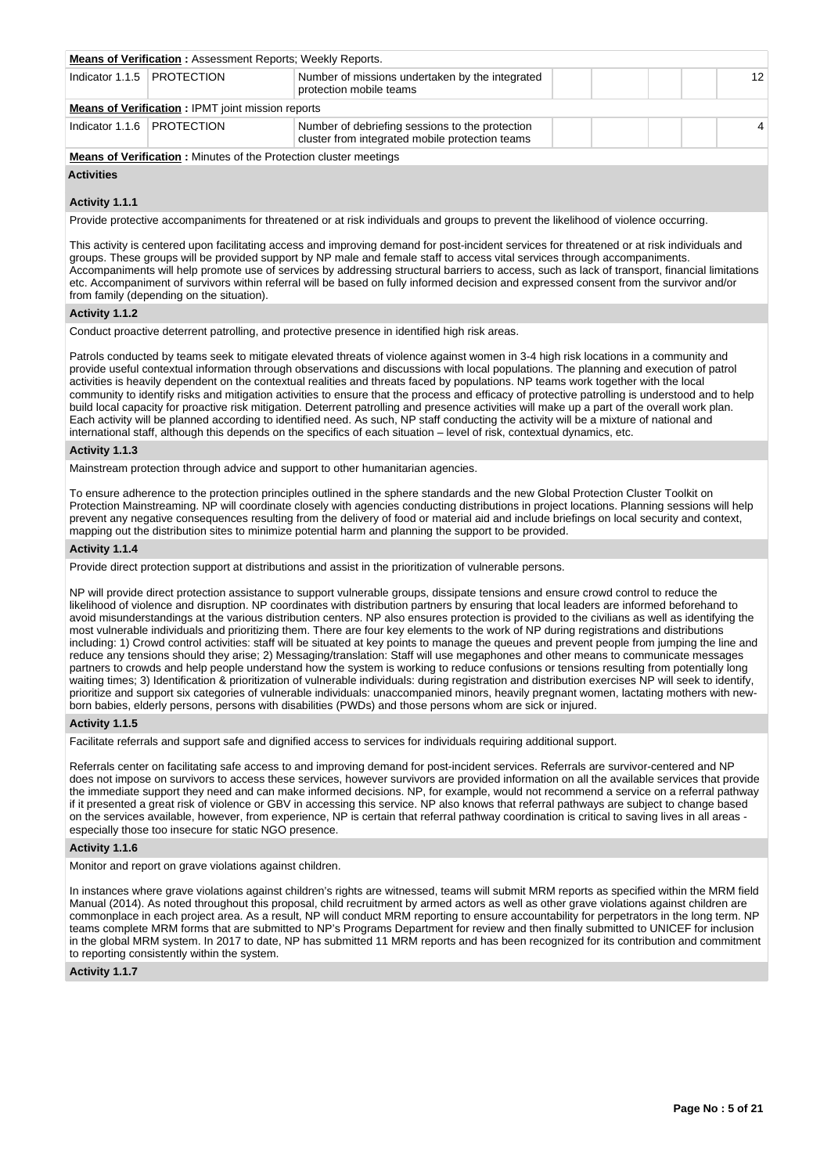| <b>Means of Verification:</b> Assessment Reports; Weekly Reports.                                              |                                                          |                                                                                                    |  |  |  |  |   |  |  |
|----------------------------------------------------------------------------------------------------------------|----------------------------------------------------------|----------------------------------------------------------------------------------------------------|--|--|--|--|---|--|--|
| Indicator 1.1.5 PROTECTION<br>Number of missions undertaken by the integrated<br>12<br>protection mobile teams |                                                          |                                                                                                    |  |  |  |  |   |  |  |
|                                                                                                                | <b>Means of Verification: IPMT joint mission reports</b> |                                                                                                    |  |  |  |  |   |  |  |
|                                                                                                                | Indicator 1.1.6   PROTECTION                             | Number of debriefing sessions to the protection<br>cluster from integrated mobile protection teams |  |  |  |  | 4 |  |  |

**Means of Verification :** Minutes of the Protection cluster meetings

# **Activities**

## **Activity 1.1.1**

Provide protective accompaniments for threatened or at risk individuals and groups to prevent the likelihood of violence occurring.

This activity is centered upon facilitating access and improving demand for post-incident services for threatened or at risk individuals and groups. These groups will be provided support by NP male and female staff to access vital services through accompaniments. Accompaniments will help promote use of services by addressing structural barriers to access, such as lack of transport, financial limitations etc. Accompaniment of survivors within referral will be based on fully informed decision and expressed consent from the survivor and/or from family (depending on the situation).

## **Activity 1.1.2**

Conduct proactive deterrent patrolling, and protective presence in identified high risk areas.

Patrols conducted by teams seek to mitigate elevated threats of violence against women in 3-4 high risk locations in a community and provide useful contextual information through observations and discussions with local populations. The planning and execution of patrol activities is heavily dependent on the contextual realities and threats faced by populations. NP teams work together with the local community to identify risks and mitigation activities to ensure that the process and efficacy of protective patrolling is understood and to help build local capacity for proactive risk mitigation. Deterrent patrolling and presence activities will make up a part of the overall work plan. Each activity will be planned according to identified need. As such, NP staff conducting the activity will be a mixture of national and international staff, although this depends on the specifics of each situation – level of risk, contextual dynamics, etc.

#### **Activity 1.1.3**

Mainstream protection through advice and support to other humanitarian agencies.

To ensure adherence to the protection principles outlined in the sphere standards and the new Global Protection Cluster Toolkit on Protection Mainstreaming. NP will coordinate closely with agencies conducting distributions in project locations. Planning sessions will help prevent any negative consequences resulting from the delivery of food or material aid and include briefings on local security and context, mapping out the distribution sites to minimize potential harm and planning the support to be provided.

### **Activity 1.1.4**

Provide direct protection support at distributions and assist in the prioritization of vulnerable persons.

NP will provide direct protection assistance to support vulnerable groups, dissipate tensions and ensure crowd control to reduce the likelihood of violence and disruption. NP coordinates with distribution partners by ensuring that local leaders are informed beforehand to avoid misunderstandings at the various distribution centers. NP also ensures protection is provided to the civilians as well as identifying the most vulnerable individuals and prioritizing them. There are four key elements to the work of NP during registrations and distributions including: 1) Crowd control activities: staff will be situated at key points to manage the queues and prevent people from jumping the line and reduce any tensions should they arise; 2) Messaging/translation: Staff will use megaphones and other means to communicate messages partners to crowds and help people understand how the system is working to reduce confusions or tensions resulting from potentially long waiting times; 3) Identification & prioritization of vulnerable individuals: during registration and distribution exercises NP will seek to identify, prioritize and support six categories of vulnerable individuals: unaccompanied minors, heavily pregnant women, lactating mothers with newborn babies, elderly persons, persons with disabilities (PWDs) and those persons whom are sick or injured.

## **Activity 1.1.5**

Facilitate referrals and support safe and dignified access to services for individuals requiring additional support.

Referrals center on facilitating safe access to and improving demand for post-incident services. Referrals are survivor-centered and NP does not impose on survivors to access these services, however survivors are provided information on all the available services that provide the immediate support they need and can make informed decisions. NP, for example, would not recommend a service on a referral pathway if it presented a great risk of violence or GBV in accessing this service. NP also knows that referral pathways are subject to change based on the services available, however, from experience, NP is certain that referral pathway coordination is critical to saving lives in all areas especially those too insecure for static NGO presence.

#### **Activity 1.1.6**

Monitor and report on grave violations against children.

In instances where grave violations against children's rights are witnessed, teams will submit MRM reports as specified within the MRM field Manual (2014). As noted throughout this proposal, child recruitment by armed actors as well as other grave violations against children are commonplace in each project area. As a result, NP will conduct MRM reporting to ensure accountability for perpetrators in the long term. NP teams complete MRM forms that are submitted to NP's Programs Department for review and then finally submitted to UNICEF for inclusion in the global MRM system. In 2017 to date, NP has submitted 11 MRM reports and has been recognized for its contribution and commitment to reporting consistently within the system.

### **Activity 1.1.7**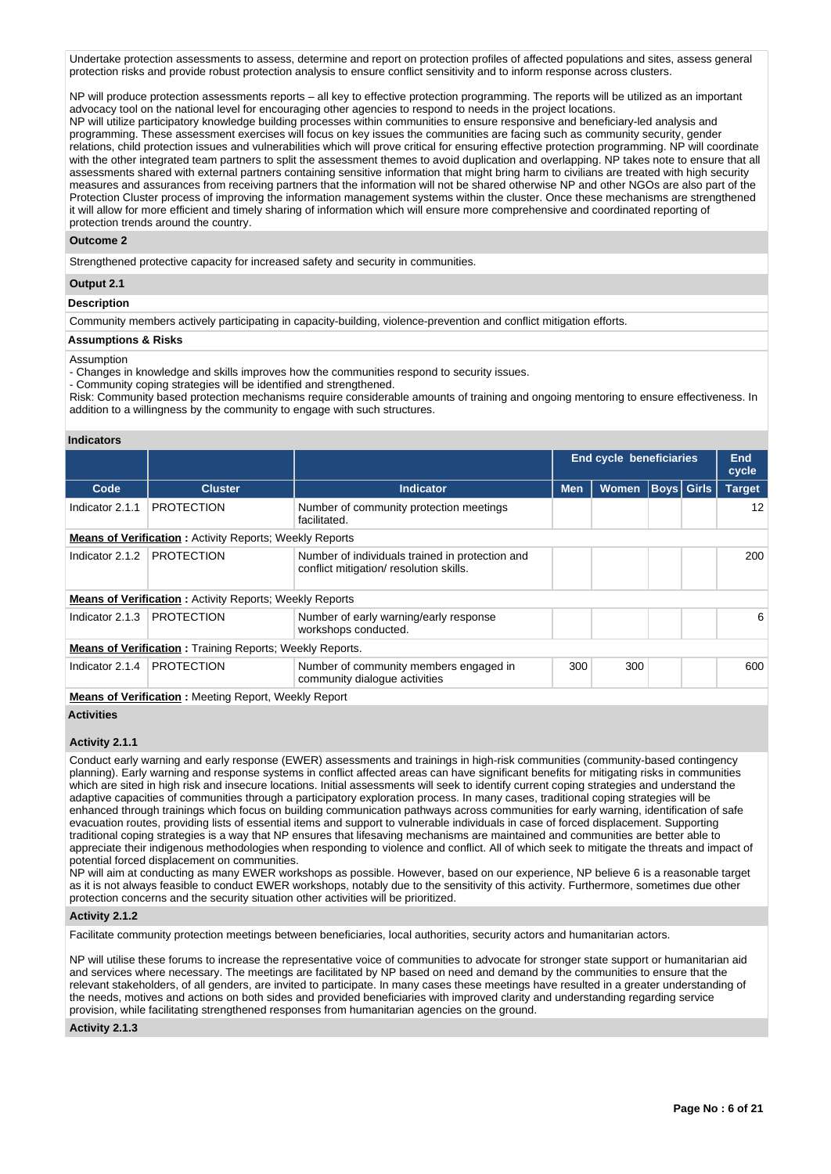Undertake protection assessments to assess, determine and report on protection profiles of affected populations and sites, assess general protection risks and provide robust protection analysis to ensure conflict sensitivity and to inform response across clusters.

NP will produce protection assessments reports – all key to effective protection programming. The reports will be utilized as an important advocacy tool on the national level for encouraging other agencies to respond to needs in the project locations. NP will utilize participatory knowledge building processes within communities to ensure responsive and beneficiary-led analysis and programming. These assessment exercises will focus on key issues the communities are facing such as community security, gender relations, child protection issues and vulnerabilities which will prove critical for ensuring effective protection programming. NP will coordinate with the other integrated team partners to split the assessment themes to avoid duplication and overlapping. NP takes note to ensure that all assessments shared with external partners containing sensitive information that might bring harm to civilians are treated with high security measures and assurances from receiving partners that the information will not be shared otherwise NP and other NGOs are also part of the Protection Cluster process of improving the information management systems within the cluster. Once these mechanisms are strengthened it will allow for more efficient and timely sharing of information which will ensure more comprehensive and coordinated reporting of

protection trends around the country.

### **Outcome 2**

Strengthened protective capacity for increased safety and security in communities.

## **Output 2.1**

### **Description**

Community members actively participating in capacity-building, violence-prevention and conflict mitigation efforts.

### **Assumptions & Risks**

#### Assumption

- Changes in knowledge and skills improves how the communities respond to security issues.

- Community coping strategies will be identified and strengthened.

Risk: Community based protection mechanisms require considerable amounts of training and ongoing mentoring to ensure effectiveness. In addition to a willingness by the community to engage with such structures.

### **Indicators**

|                                                                |                                                                 |                                                                                           |            | <b>End cycle beneficiaries</b> |  |                   |               |  |  |  |  |
|----------------------------------------------------------------|-----------------------------------------------------------------|-------------------------------------------------------------------------------------------|------------|--------------------------------|--|-------------------|---------------|--|--|--|--|
| Code                                                           | <b>Cluster</b>                                                  | <b>Indicator</b>                                                                          | <b>Men</b> | <b>Women</b>                   |  | <b>Boys Girls</b> | <b>Target</b> |  |  |  |  |
| Indicator 2.1.1                                                | <b>PROTECTION</b>                                               | Number of community protection meetings<br>facilitated.                                   |            |                                |  |                   | 12            |  |  |  |  |
| <b>Means of Verification:</b> Activity Reports; Weekly Reports |                                                                 |                                                                                           |            |                                |  |                   |               |  |  |  |  |
| Indicator 2.1.2                                                | <b>PROTECTION</b>                                               | Number of individuals trained in protection and<br>conflict mitigation/resolution skills. |            |                                |  |                   |               |  |  |  |  |
|                                                                | <b>Means of Verification: Activity Reports: Weekly Reports</b>  |                                                                                           |            |                                |  |                   |               |  |  |  |  |
| Indicator $2.1.3$                                              | <b>PROTECTION</b>                                               | Number of early warning/early response<br>workshops conducted.                            |            |                                |  |                   | 6             |  |  |  |  |
|                                                                | <b>Means of Verification:</b> Training Reports; Weekly Reports. |                                                                                           |            |                                |  |                   |               |  |  |  |  |
| Indicator 2.1.4                                                | <b>PROTECTION</b>                                               | Number of community members engaged in<br>community dialogue activities                   | 300        | 300                            |  |                   | 600           |  |  |  |  |
|                                                                | <b>Means of Verification:</b> Meeting Report, Weekly Report     |                                                                                           |            |                                |  |                   |               |  |  |  |  |

## **Activities**

#### **Activity 2.1.1**

Conduct early warning and early response (EWER) assessments and trainings in high-risk communities (community-based contingency planning). Early warning and response systems in conflict affected areas can have significant benefits for mitigating risks in communities which are sited in high risk and insecure locations. Initial assessments will seek to identify current coping strategies and understand the adaptive capacities of communities through a participatory exploration process. In many cases, traditional coping strategies will be enhanced through trainings which focus on building communication pathways across communities for early warning, identification of safe evacuation routes, providing lists of essential items and support to vulnerable individuals in case of forced displacement. Supporting traditional coping strategies is a way that NP ensures that lifesaving mechanisms are maintained and communities are better able to appreciate their indigenous methodologies when responding to violence and conflict. All of which seek to mitigate the threats and impact of potential forced displacement on communities.

NP will aim at conducting as many EWER workshops as possible. However, based on our experience, NP believe 6 is a reasonable target as it is not always feasible to conduct EWER workshops, notably due to the sensitivity of this activity. Furthermore, sometimes due other protection concerns and the security situation other activities will be prioritized.

### **Activity 2.1.2**

Facilitate community protection meetings between beneficiaries, local authorities, security actors and humanitarian actors.

NP will utilise these forums to increase the representative voice of communities to advocate for stronger state support or humanitarian aid and services where necessary. The meetings are facilitated by NP based on need and demand by the communities to ensure that the relevant stakeholders, of all genders, are invited to participate. In many cases these meetings have resulted in a greater understanding of the needs, motives and actions on both sides and provided beneficiaries with improved clarity and understanding regarding service provision, while facilitating strengthened responses from humanitarian agencies on the ground.

## **Activity 2.1.3**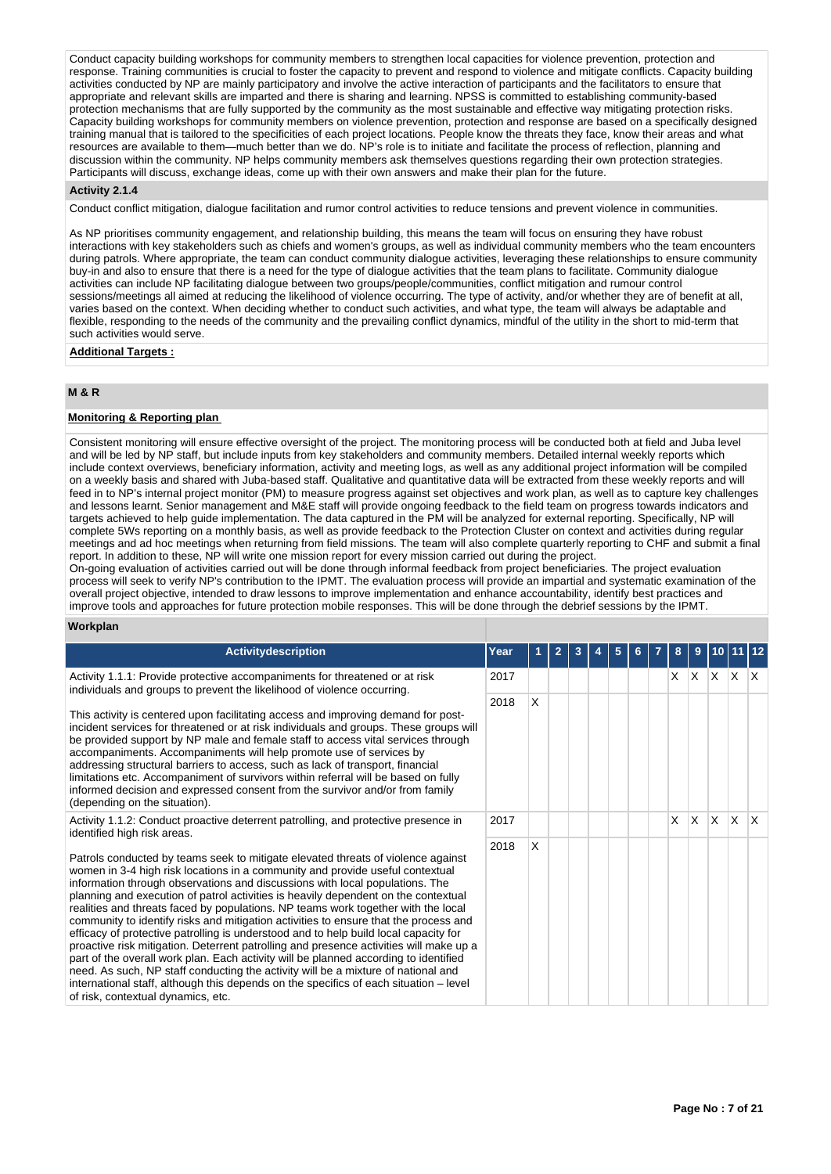Conduct capacity building workshops for community members to strengthen local capacities for violence prevention, protection and response. Training communities is crucial to foster the capacity to prevent and respond to violence and mitigate conflicts. Capacity building activities conducted by NP are mainly participatory and involve the active interaction of participants and the facilitators to ensure that appropriate and relevant skills are imparted and there is sharing and learning. NPSS is committed to establishing community-based protection mechanisms that are fully supported by the community as the most sustainable and effective way mitigating protection risks. Capacity building workshops for community members on violence prevention, protection and response are based on a specifically designed training manual that is tailored to the specificities of each project locations. People know the threats they face, know their areas and what resources are available to them—much better than we do. NP's role is to initiate and facilitate the process of reflection, planning and discussion within the community. NP helps community members ask themselves questions regarding their own protection strategies. Participants will discuss, exchange ideas, come up with their own answers and make their plan for the future.

### **Activity 2.1.4**

Conduct conflict mitigation, dialogue facilitation and rumor control activities to reduce tensions and prevent violence in communities.

As NP prioritises community engagement, and relationship building, this means the team will focus on ensuring they have robust interactions with key stakeholders such as chiefs and women's groups, as well as individual community members who the team encounters during patrols. Where appropriate, the team can conduct community dialogue activities, leveraging these relationships to ensure community buy-in and also to ensure that there is a need for the type of dialogue activities that the team plans to facilitate. Community dialogue activities can include NP facilitating dialogue between two groups/people/communities, conflict mitigation and rumour control sessions/meetings all aimed at reducing the likelihood of violence occurring. The type of activity, and/or whether they are of benefit at all, varies based on the context. When deciding whether to conduct such activities, and what type, the team will always be adaptable and flexible, responding to the needs of the community and the prevailing conflict dynamics, mindful of the utility in the short to mid-term that such activities would serve.

### **Additional Targets :**

## **M & R**

## **Monitoring & Reporting plan**

Consistent monitoring will ensure effective oversight of the project. The monitoring process will be conducted both at field and Juba level and will be led by NP staff, but include inputs from key stakeholders and community members. Detailed internal weekly reports which include context overviews, beneficiary information, activity and meeting logs, as well as any additional project information will be compiled on a weekly basis and shared with Juba-based staff. Qualitative and quantitative data will be extracted from these weekly reports and will feed in to NP's internal project monitor (PM) to measure progress against set objectives and work plan, as well as to capture key challenges and lessons learnt. Senior management and M&E staff will provide ongoing feedback to the field team on progress towards indicators and targets achieved to help guide implementation. The data captured in the PM will be analyzed for external reporting. Specifically, NP will complete 5Ws reporting on a monthly basis, as well as provide feedback to the Protection Cluster on context and activities during regular meetings and ad hoc meetings when returning from field missions. The team will also complete quarterly reporting to CHF and submit a final report. In addition to these, NP will write one mission report for every mission carried out during the project.

On-going evaluation of activities carried out will be done through informal feedback from project beneficiaries. The project evaluation process will seek to verify NP's contribution to the IPMT. The evaluation process will provide an impartial and systematic examination of the overall project objective, intended to draw lessons to improve implementation and enhance accountability, identify best practices and improve tools and approaches for future protection mobile responses. This will be done through the debrief sessions by the IPMT.

## **Workplan**

| <b>Activitydescription</b>                                                                                                                                                                                                                                                                                                                                                                                                                                                                                                                                                                                                                                                                                                                                                                                                                                                                                                                                                                                         | Year |   | $\overline{2}$ |  | 5 |  | 8        | $\bf{9}$ |          | 10 11 12        |                         |
|--------------------------------------------------------------------------------------------------------------------------------------------------------------------------------------------------------------------------------------------------------------------------------------------------------------------------------------------------------------------------------------------------------------------------------------------------------------------------------------------------------------------------------------------------------------------------------------------------------------------------------------------------------------------------------------------------------------------------------------------------------------------------------------------------------------------------------------------------------------------------------------------------------------------------------------------------------------------------------------------------------------------|------|---|----------------|--|---|--|----------|----------|----------|-----------------|-------------------------|
| Activity 1.1.1: Provide protective accompaniments for threatened or at risk<br>individuals and groups to prevent the likelihood of violence occurring.                                                                                                                                                                                                                                                                                                                                                                                                                                                                                                                                                                                                                                                                                                                                                                                                                                                             | 2017 |   |                |  |   |  | $\times$ |          |          | $X$ $X$ $X$ $X$ |                         |
| This activity is centered upon facilitating access and improving demand for post-<br>incident services for threatened or at risk individuals and groups. These groups will<br>be provided support by NP male and female staff to access vital services through<br>accompaniments. Accompaniments will help promote use of services by<br>addressing structural barriers to access, such as lack of transport, financial<br>limitations etc. Accompaniment of survivors within referral will be based on fully<br>informed decision and expressed consent from the survivor and/or from family<br>(depending on the situation).                                                                                                                                                                                                                                                                                                                                                                                     | 2018 | X |                |  |   |  |          |          |          |                 |                         |
| Activity 1.1.2: Conduct proactive deterrent patrolling, and protective presence in<br>identified high risk areas.                                                                                                                                                                                                                                                                                                                                                                                                                                                                                                                                                                                                                                                                                                                                                                                                                                                                                                  | 2017 |   |                |  |   |  | X        | $\times$ | <b>X</b> | $\mathsf{X}$    | $\mathsf{I} \mathsf{X}$ |
| Patrols conducted by teams seek to mitigate elevated threats of violence against<br>women in 3-4 high risk locations in a community and provide useful contextual<br>information through observations and discussions with local populations. The<br>planning and execution of patrol activities is heavily dependent on the contextual<br>realities and threats faced by populations. NP teams work together with the local<br>community to identify risks and mitigation activities to ensure that the process and<br>efficacy of protective patrolling is understood and to help build local capacity for<br>proactive risk mitigation. Deterrent patrolling and presence activities will make up a<br>part of the overall work plan. Each activity will be planned according to identified<br>need. As such, NP staff conducting the activity will be a mixture of national and<br>international staff, although this depends on the specifics of each situation – level<br>of risk, contextual dynamics, etc. | 2018 | X |                |  |   |  |          |          |          |                 |                         |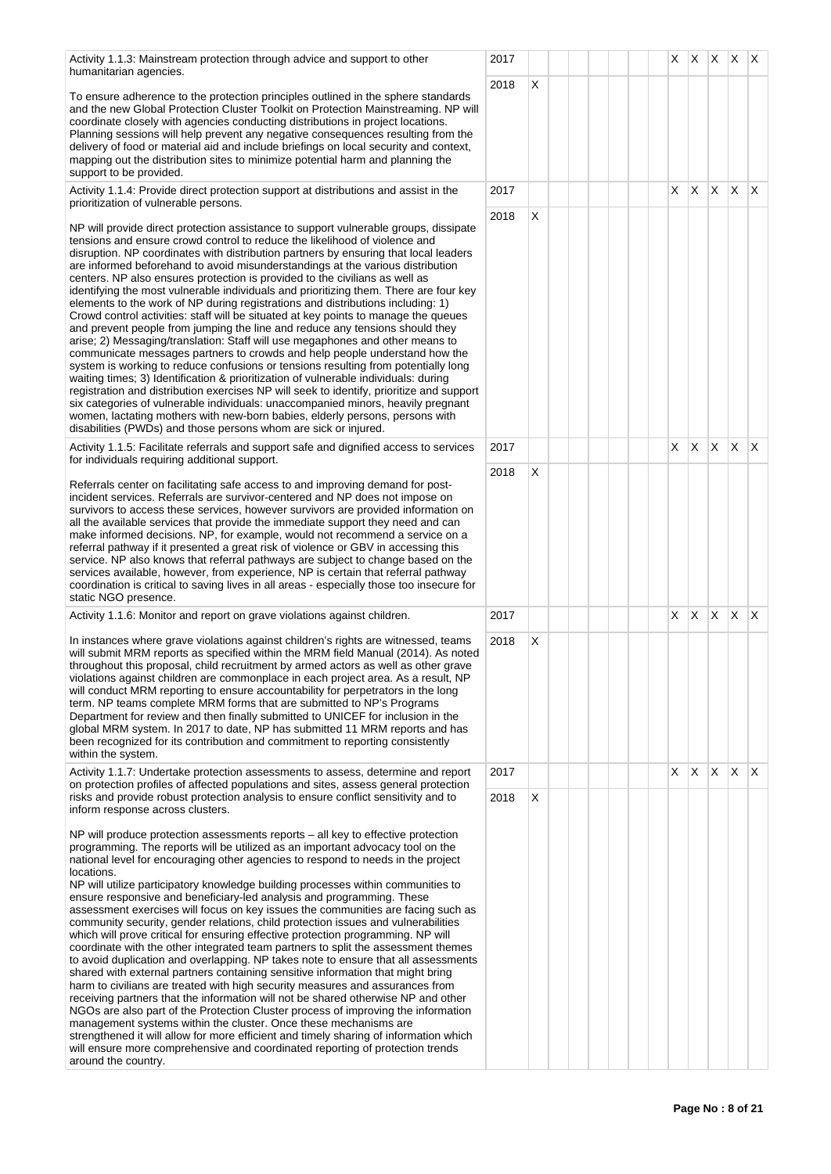humanitarian agencies. To ensure adherence to the protection principles outlined in the sphere standards and the new Global Protection Cluster Toolkit on Protection Mainstreaming. NP will coordinate closely with agencies conducting distributions in project locations. Planning sessions will help prevent any negative consequences resulting from the delivery of food or material aid and include briefings on local security and context, mapping out the distribution sites to minimize potential harm and planning the support to be provided.

Activity 1.1.3: Mainstream protection through advice and support to other

Activity 1.1.4: Provide direct protection support at distributions and assist in the prioritization of vulnerable persons.

NP will provide direct protection assistance to support vulnerable groups, dissipate tensions and ensure crowd control to reduce the likelihood of violence and disruption. NP coordinates with distribution partners by ensuring that local leaders are informed beforehand to avoid misunderstandings at the various distribution centers. NP also ensures protection is provided to the civilians as well as identifying the most vulnerable individuals and prioritizing them. There are four key elements to the work of NP during registrations and distributions including: 1) Crowd control activities: staff will be situated at key points to manage the queues and prevent people from jumping the line and reduce any tensions should they arise; 2) Messaging/translation: Staff will use megaphones and other means to communicate messages partners to crowds and help people understand how the system is working to reduce confusions or tensions resulting from potentially long waiting times; 3) Identification & prioritization of vulnerable individuals: during registration and distribution exercises NP will seek to identify, prioritize and support six categories of vulnerable individuals: unaccompanied minors, heavily pregnant women, lactating mothers with new-born babies, elderly persons, persons with disabilities (PWDs) and those persons whom are sick or injured.

Activity 1.1.5: Facilitate referrals and support safe and dignified access to services for individuals requiring additional support.

Referrals center on facilitating safe access to and improving demand for postincident services. Referrals are survivor-centered and NP does not impose on survivors to access these services, however survivors are provided information on all the available services that provide the immediate support they need and can make informed decisions. NP, for example, would not recommend a service on a referral pathway if it presented a great risk of violence or GBV in accessing this service. NP also knows that referral pathways are subject to change based on the services available, however, from experience, NP is certain that referral pathway coordination is critical to saving lives in all areas - especially those too insecure for static NGO presence.

Activity 1.1.6: Monitor and report on grave violations against children.

In instances where grave violations against children's rights are witnessed, teams will submit MRM reports as specified within the MRM field Manual (2014). As noted throughout this proposal, child recruitment by armed actors as well as other grave violations against children are commonplace in each project area. As a result, NP will conduct MRM reporting to ensure accountability for perpetrators in the long term. NP teams complete MRM forms that are submitted to NP's Programs Department for review and then finally submitted to UNICEF for inclusion in the global MRM system. In 2017 to date, NP has submitted 11 MRM reports and has been recognized for its contribution and commitment to reporting consistently within the system.

Activity 1.1.7: Undertake protection assessments to assess, determine and report on protection profiles of affected populations and sites, assess general protection risks and provide robust protection analysis to ensure conflict sensitivity and to inform response across clusters.

NP will produce protection assessments reports – all key to effective protection programming. The reports will be utilized as an important advocacy tool on the national level for encouraging other agencies to respond to needs in the project locations.

NP will utilize participatory knowledge building processes within communities to ensure responsive and beneficiary-led analysis and programming. These assessment exercises will focus on key issues the communities are facing such as community security, gender relations, child protection issues and vulnerabilities which will prove critical for ensuring effective protection programming. NP will coordinate with the other integrated team partners to split the assessment themes to avoid duplication and overlapping. NP takes note to ensure that all assessments shared with external partners containing sensitive information that might bring harm to civilians are treated with high security measures and assurances from receiving partners that the information will not be shared otherwise NP and other NGOs are also part of the Protection Cluster process of improving the information management systems within the cluster. Once these mechanisms are strengthened it will allow for more efficient and timely sharing of information which will ensure more comprehensive and coordinated reporting of protection trends around the country.

|              | 2017 |                           |  |  |  | X                       | $\boldsymbol{\mathsf{X}}$ | $\mathsf{X}^-$          | $\mathsf X$             | $\overline{\mathsf{X}}$ |
|--------------|------|---------------------------|--|--|--|-------------------------|---------------------------|-------------------------|-------------------------|-------------------------|
|              | 2018 | X                         |  |  |  |                         |                           |                         |                         |                         |
| $\mathbf{I}$ |      |                           |  |  |  |                         |                           |                         |                         |                         |
|              |      |                           |  |  |  |                         |                           |                         |                         |                         |
|              |      |                           |  |  |  |                         |                           |                         |                         |                         |
|              | 2017 |                           |  |  |  | X                       | $\overline{\mathsf{X}}$   | $\mathsf{X}^-$          | $\overline{\mathsf{X}}$ | X                       |
|              | 2018 | X                         |  |  |  |                         |                           |                         |                         |                         |
|              |      |                           |  |  |  |                         |                           |                         |                         |                         |
|              |      |                           |  |  |  |                         |                           |                         |                         |                         |
|              |      |                           |  |  |  |                         |                           |                         |                         |                         |
|              |      |                           |  |  |  |                         |                           |                         |                         |                         |
|              |      |                           |  |  |  |                         |                           |                         |                         |                         |
|              |      |                           |  |  |  |                         |                           |                         |                         |                         |
| t            |      |                           |  |  |  |                         |                           |                         |                         |                         |
|              |      |                           |  |  |  |                         |                           |                         |                         |                         |
|              | 2017 |                           |  |  |  | $\overline{\mathsf{x}}$ | $\overline{\mathsf{X}}$   | $\mathsf X$             | X                       | $\mathsf X$             |
|              | 2018 | $\boldsymbol{\mathsf{X}}$ |  |  |  |                         |                           |                         |                         |                         |
|              |      |                           |  |  |  |                         |                           |                         |                         |                         |
|              |      |                           |  |  |  |                         |                           |                         |                         |                         |
|              |      |                           |  |  |  |                         |                           |                         |                         |                         |
|              |      |                           |  |  |  |                         |                           |                         |                         |                         |
|              |      |                           |  |  |  |                         |                           |                         |                         |                         |
|              | 2017 |                           |  |  |  | $\overline{\mathsf{x}}$ | $\overline{\mathsf{X}}$   | $\overline{\mathsf{X}}$ | $\mathsf X$             | X                       |
|              | 2018 | X                         |  |  |  |                         |                           |                         |                         |                         |
| ł            |      |                           |  |  |  |                         |                           |                         |                         |                         |
|              |      |                           |  |  |  |                         |                           |                         |                         |                         |
|              |      |                           |  |  |  |                         |                           |                         |                         |                         |
|              |      |                           |  |  |  |                         |                           |                         |                         |                         |
|              | 2017 |                           |  |  |  | $\overline{\mathsf{X}}$ | $\mathsf X$               | $\mathsf{X}$            | $\mathsf X$             | $\pmb{\times}$          |
|              | 2018 | X                         |  |  |  |                         |                           |                         |                         |                         |
|              |      |                           |  |  |  |                         |                           |                         |                         |                         |
|              |      |                           |  |  |  |                         |                           |                         |                         |                         |
|              |      |                           |  |  |  |                         |                           |                         |                         |                         |
|              |      |                           |  |  |  |                         |                           |                         |                         |                         |
|              |      |                           |  |  |  |                         |                           |                         |                         |                         |
|              |      |                           |  |  |  |                         |                           |                         |                         |                         |
|              |      |                           |  |  |  |                         |                           |                         |                         |                         |
|              |      |                           |  |  |  |                         |                           |                         |                         |                         |
|              |      |                           |  |  |  |                         |                           |                         |                         |                         |
|              |      |                           |  |  |  |                         |                           |                         |                         |                         |
|              |      |                           |  |  |  |                         |                           |                         |                         |                         |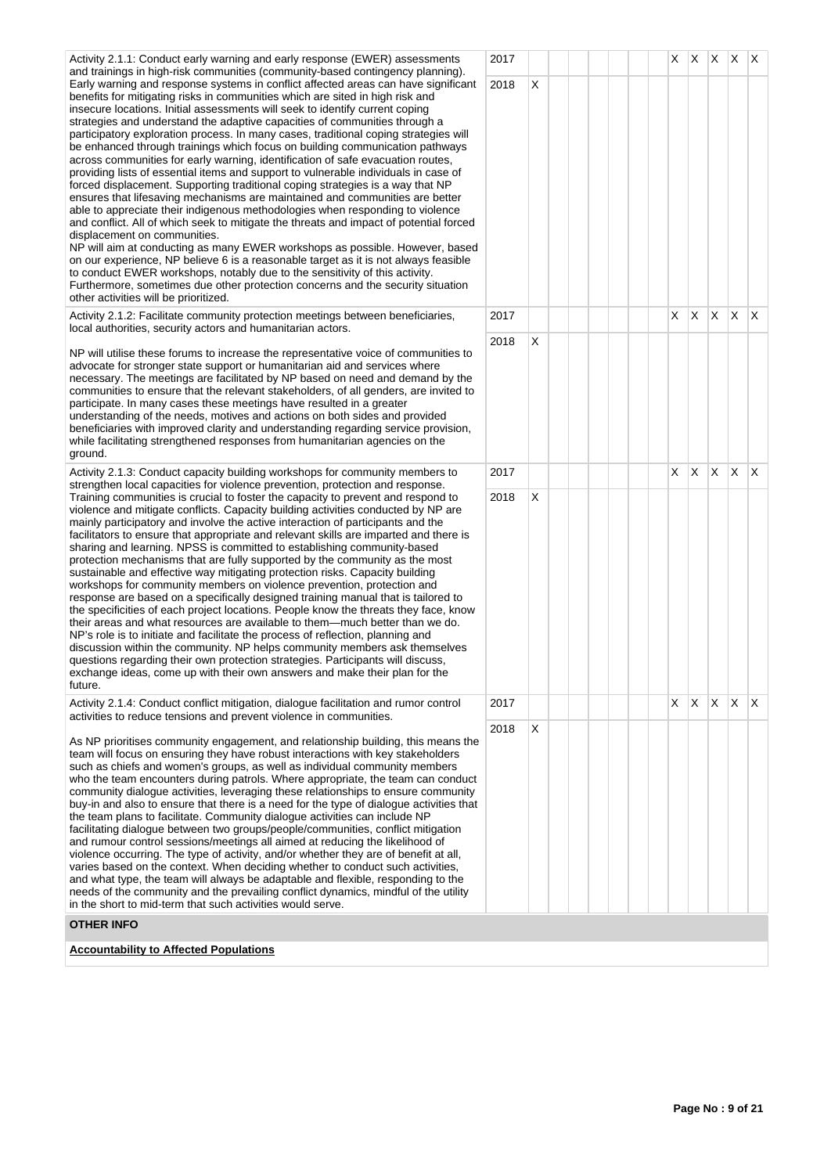Activity 2.1.1: Conduct early warning and early response (EWER) assessments and trainings in high-risk communities (community-based contingency planning). Early warning and response systems in conflict affected areas can have significant benefits for mitigating risks in communities which are sited in high risk and insecure locations. Initial assessments will seek to identify current coping strategies and understand the adaptive capacities of communities through a participatory exploration process. In many cases, traditional coping strategies will be enhanced through trainings which focus on building communication pathways across communities for early warning, identification of safe evacuation routes, providing lists of essential items and support to vulnerable individuals in case of forced displacement. Supporting traditional coping strategies is a way that NP ensures that lifesaving mechanisms are maintained and communities are better able to appreciate their indigenous methodologies when responding to violence and conflict. All of which seek to mitigate the threats and impact of potential forced displacement on communities. NP will aim at conducting as many EWER workshops as possible. However, based on our experience, NP believe 6 is a reasonable target as it is not always feasible to conduct EWER workshops, notably due to the sensitivity of this activity.

Furthermore, sometimes due other protection concerns and the security situation other activities will be prioritized.

Activity 2.1.2: Facilitate community protection meetings between beneficiaries, local authorities, security actors and humanitarian actors.

NP will utilise these forums to increase the representative voice of communities to advocate for stronger state support or humanitarian aid and services where necessary. The meetings are facilitated by NP based on need and demand by the communities to ensure that the relevant stakeholders, of all genders, are invited to participate. In many cases these meetings have resulted in a greater understanding of the needs, motives and actions on both sides and provided beneficiaries with improved clarity and understanding regarding service provision, while facilitating strengthened responses from humanitarian agencies on the ground.

Activity 2.1.3: Conduct capacity building workshops for community members to strengthen local capacities for violence prevention, protection and response. Training communities is crucial to foster the capacity to prevent and respond to violence and mitigate conflicts. Capacity building activities conducted by NP are mainly participatory and involve the active interaction of participants and the facilitators to ensure that appropriate and relevant skills are imparted and there is sharing and learning. NPSS is committed to establishing community-based protection mechanisms that are fully supported by the community as the most sustainable and effective way mitigating protection risks. Capacity building workshops for community members on violence prevention, protection and response are based on a specifically designed training manual that is tailored to the specificities of each project locations. People know the threats they face, know their areas and what resources are available to them—much better than we do. NP's role is to initiate and facilitate the process of reflection, planning and discussion within the community. NP helps community members ask themselves questions regarding their own protection strategies. Participants will discuss, exchange ideas, come up with their own answers and make their plan for the future.

Activity 2.1.4: Conduct conflict mitigation, dialogue facilitation and rumor control activities to reduce tensions and prevent violence in communities.

As NP prioritises community engagement, and relationship building, this means the team will focus on ensuring they have robust interactions with key stakeholders such as chiefs and women's groups, as well as individual community members who the team encounters during patrols. Where appropriate, the team can conduct community dialogue activities, leveraging these relationships to ensure community buy-in and also to ensure that there is a need for the type of dialogue activities that the team plans to facilitate. Community dialogue activities can include NP facilitating dialogue between two groups/people/communities, conflict mitigation and rumour control sessions/meetings all aimed at reducing the likelihood of violence occurring. The type of activity, and/or whether they are of benefit at all, varies based on the context. When deciding whether to conduct such activities, and what type, the team will always be adaptable and flexible, responding to the needs of the community and the prevailing conflict dynamics, mindful of the utility in the short to mid-term that such activities would serve.

## **OTHER INFO**

**Accountability to Affected Populations**

| $x \mid x$<br>$x \mid x$<br>$\mathsf X$<br>2017<br>$\pmb{\times}$<br>2018<br>$\overline{X}$<br>$\mathsf X$<br>$\overline{\mathsf{X}}$<br>$\overline{\mathsf{x}}$<br>$\mathsf{X}^-$<br>2017<br>X<br>2018<br>$\overline{\mathsf{X}}$<br>$\bar{\mathsf{X}}$<br>$\overline{\mathsf{X}}$<br>$\overline{\mathsf{X}}$<br>$\overline{\mathsf{X}}$<br>2017<br>$\pmb{\times}$<br>2018<br>$\overline{\mathsf{X}}$<br>$\overline{\mathsf{X}}$<br>$\overline{\mathsf{X}}$<br>$\overline{\mathsf{X}}$<br>X<br>2017<br>$\sf X$<br>2018 |                                     |  |  |  |  |  |  |  |
|-------------------------------------------------------------------------------------------------------------------------------------------------------------------------------------------------------------------------------------------------------------------------------------------------------------------------------------------------------------------------------------------------------------------------------------------------------------------------------------------------------------------------|-------------------------------------|--|--|--|--|--|--|--|
|                                                                                                                                                                                                                                                                                                                                                                                                                                                                                                                         |                                     |  |  |  |  |  |  |  |
|                                                                                                                                                                                                                                                                                                                                                                                                                                                                                                                         | $\mathsf{t}$<br>$\overline{a}$<br>Ł |  |  |  |  |  |  |  |
|                                                                                                                                                                                                                                                                                                                                                                                                                                                                                                                         |                                     |  |  |  |  |  |  |  |
|                                                                                                                                                                                                                                                                                                                                                                                                                                                                                                                         |                                     |  |  |  |  |  |  |  |
|                                                                                                                                                                                                                                                                                                                                                                                                                                                                                                                         |                                     |  |  |  |  |  |  |  |
|                                                                                                                                                                                                                                                                                                                                                                                                                                                                                                                         | <sup>-</sup>                        |  |  |  |  |  |  |  |
|                                                                                                                                                                                                                                                                                                                                                                                                                                                                                                                         |                                     |  |  |  |  |  |  |  |
|                                                                                                                                                                                                                                                                                                                                                                                                                                                                                                                         | e<br>t<br>i,<br>t                   |  |  |  |  |  |  |  |
|                                                                                                                                                                                                                                                                                                                                                                                                                                                                                                                         |                                     |  |  |  |  |  |  |  |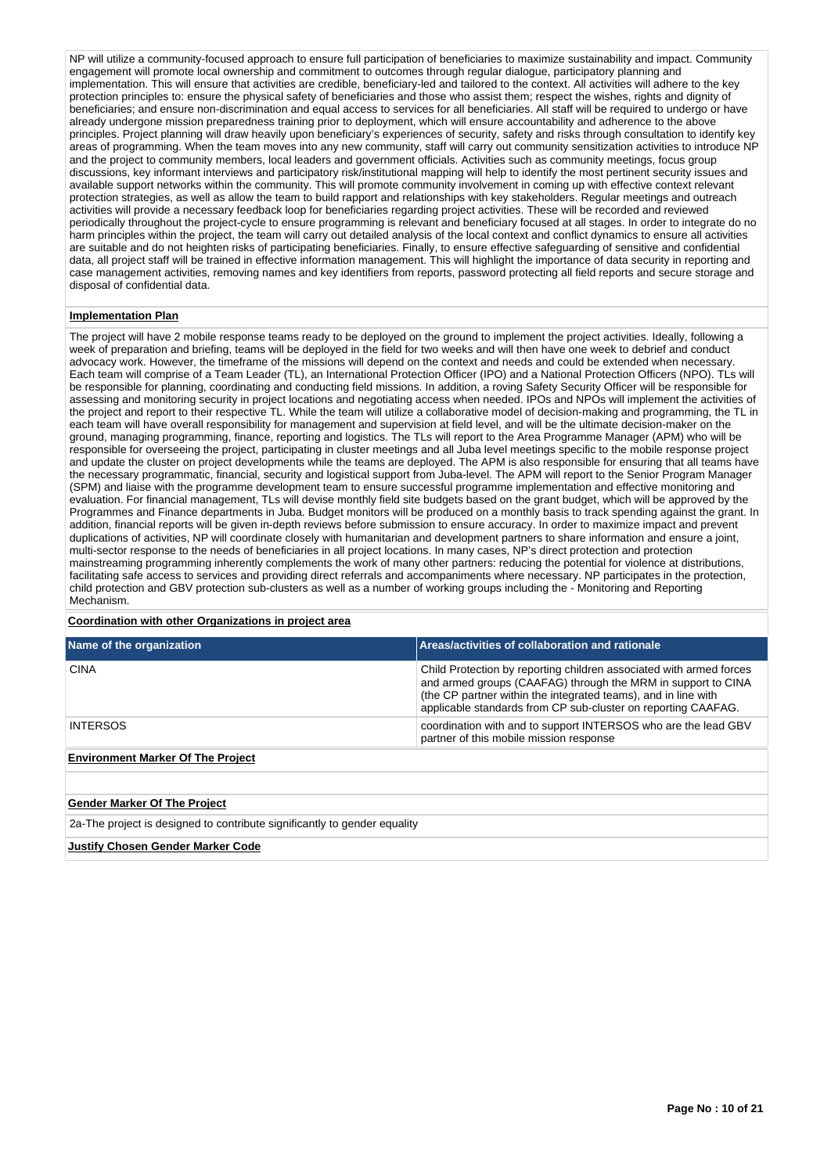NP will utilize a community-focused approach to ensure full participation of beneficiaries to maximize sustainability and impact. Community engagement will promote local ownership and commitment to outcomes through regular dialogue, participatory planning and implementation. This will ensure that activities are credible, beneficiary-led and tailored to the context. All activities will adhere to the key protection principles to: ensure the physical safety of beneficiaries and those who assist them; respect the wishes, rights and dignity of beneficiaries; and ensure non-discrimination and equal access to services for all beneficiaries. All staff will be required to undergo or have already undergone mission preparedness training prior to deployment, which will ensure accountability and adherence to the above principles. Project planning will draw heavily upon beneficiary's experiences of security, safety and risks through consultation to identify key areas of programming. When the team moves into any new community, staff will carry out community sensitization activities to introduce NP and the project to community members, local leaders and government officials. Activities such as community meetings, focus group discussions, key informant interviews and participatory risk/institutional mapping will help to identify the most pertinent security issues and available support networks within the community. This will promote community involvement in coming up with effective context relevant protection strategies, as well as allow the team to build rapport and relationships with key stakeholders. Regular meetings and outreach activities will provide a necessary feedback loop for beneficiaries regarding project activities. These will be recorded and reviewed periodically throughout the project-cycle to ensure programming is relevant and beneficiary focused at all stages. In order to integrate do no harm principles within the project, the team will carry out detailed analysis of the local context and conflict dynamics to ensure all activities are suitable and do not heighten risks of participating beneficiaries. Finally, to ensure effective safeguarding of sensitive and confidential data, all project staff will be trained in effective information management. This will highlight the importance of data security in reporting and case management activities, removing names and key identifiers from reports, password protecting all field reports and secure storage and disposal of confidential data.

## **Implementation Plan**

The project will have 2 mobile response teams ready to be deployed on the ground to implement the project activities. Ideally, following a week of preparation and briefing, teams will be deployed in the field for two weeks and will then have one week to debrief and conduct advocacy work. However, the timeframe of the missions will depend on the context and needs and could be extended when necessary. Each team will comprise of a Team Leader (TL), an International Protection Officer (IPO) and a National Protection Officers (NPO). TLs will be responsible for planning, coordinating and conducting field missions. In addition, a roving Safety Security Officer will be responsible for assessing and monitoring security in project locations and negotiating access when needed. IPOs and NPOs will implement the activities of the project and report to their respective TL. While the team will utilize a collaborative model of decision-making and programming, the TL in each team will have overall responsibility for management and supervision at field level, and will be the ultimate decision-maker on the ground, managing programming, finance, reporting and logistics. The TLs will report to the Area Programme Manager (APM) who will be responsible for overseeing the project, participating in cluster meetings and all Juba level meetings specific to the mobile response project and update the cluster on project developments while the teams are deployed. The APM is also responsible for ensuring that all teams have the necessary programmatic, financial, security and logistical support from Juba-level. The APM will report to the Senior Program Manager (SPM) and liaise with the programme development team to ensure successful programme implementation and effective monitoring and evaluation. For financial management, TLs will devise monthly field site budgets based on the grant budget, which will be approved by the Programmes and Finance departments in Juba. Budget monitors will be produced on a monthly basis to track spending against the grant. In addition, financial reports will be given in-depth reviews before submission to ensure accuracy. In order to maximize impact and prevent duplications of activities, NP will coordinate closely with humanitarian and development partners to share information and ensure a joint, multi-sector response to the needs of beneficiaries in all project locations. In many cases, NP's direct protection and protection mainstreaming programming inherently complements the work of many other partners: reducing the potential for violence at distributions, facilitating safe access to services and providing direct referrals and accompaniments where necessary. NP participates in the protection, child protection and GBV protection sub-clusters as well as a number of working groups including the - Monitoring and Reporting Mechanism.

## **Coordination with other Organizations in project area**

| Name of the organization                                                  | Areas/activities of collaboration and rationale                                                                                                                                                                                                                        |  |  |  |  |  |
|---------------------------------------------------------------------------|------------------------------------------------------------------------------------------------------------------------------------------------------------------------------------------------------------------------------------------------------------------------|--|--|--|--|--|
| <b>CINA</b>                                                               | Child Protection by reporting children associated with armed forces<br>and armed groups (CAAFAG) through the MRM in support to CINA<br>(the CP partner within the integrated teams), and in line with<br>applicable standards from CP sub-cluster on reporting CAAFAG. |  |  |  |  |  |
| <b>INTERSOS</b>                                                           | coordination with and to support INTERSOS who are the lead GBV<br>partner of this mobile mission response                                                                                                                                                              |  |  |  |  |  |
| <b>Environment Marker Of The Project</b>                                  |                                                                                                                                                                                                                                                                        |  |  |  |  |  |
|                                                                           |                                                                                                                                                                                                                                                                        |  |  |  |  |  |
| <b>Gender Marker Of The Project</b>                                       |                                                                                                                                                                                                                                                                        |  |  |  |  |  |
| 2a-The project is designed to contribute significantly to gender equality |                                                                                                                                                                                                                                                                        |  |  |  |  |  |
| <b>Justify Chosen Gender Marker Code</b>                                  |                                                                                                                                                                                                                                                                        |  |  |  |  |  |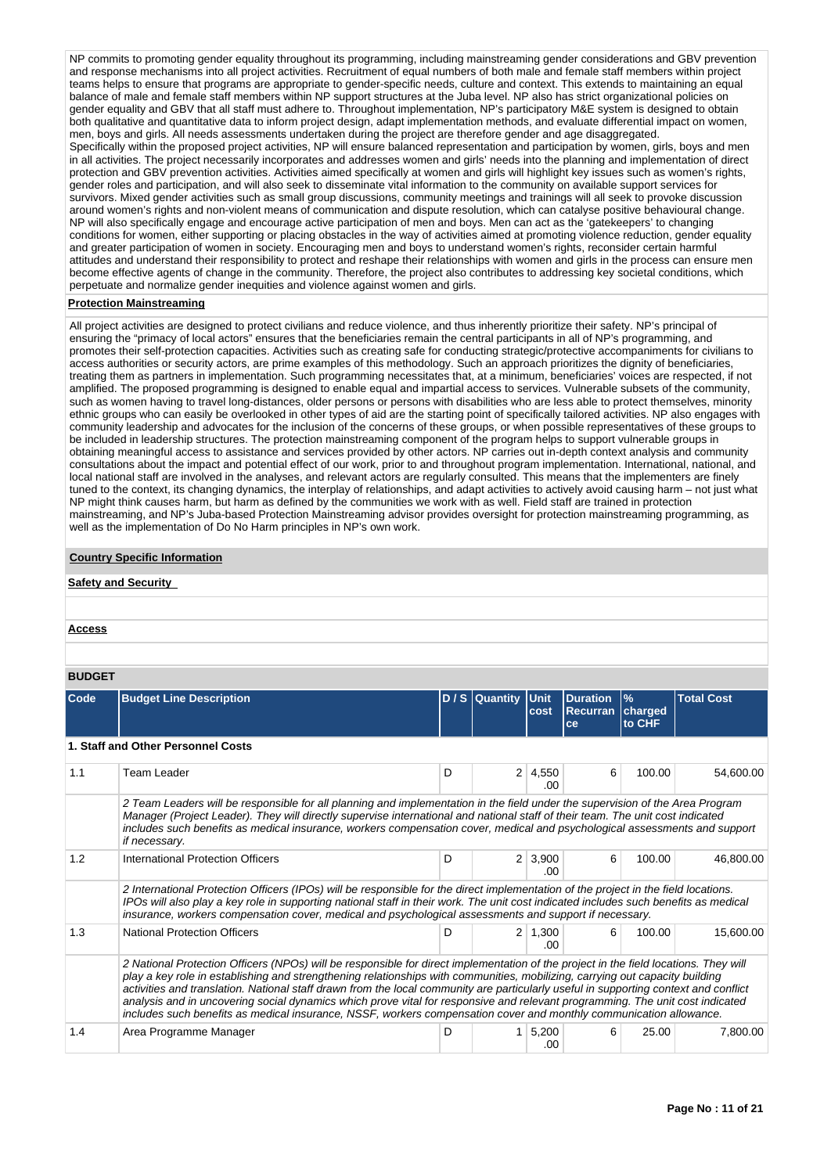NP commits to promoting gender equality throughout its programming, including mainstreaming gender considerations and GBV prevention and response mechanisms into all project activities. Recruitment of equal numbers of both male and female staff members within project teams helps to ensure that programs are appropriate to gender-specific needs, culture and context. This extends to maintaining an equal balance of male and female staff members within NP support structures at the Juba level. NP also has strict organizational policies on gender equality and GBV that all staff must adhere to. Throughout implementation, NP's participatory M&E system is designed to obtain both qualitative and quantitative data to inform project design, adapt implementation methods, and evaluate differential impact on women, men, boys and girls. All needs assessments undertaken during the project are therefore gender and age disaggregated. Specifically within the proposed project activities, NP will ensure balanced representation and participation by women, girls, boys and men in all activities. The project necessarily incorporates and addresses women and girls' needs into the planning and implementation of direct protection and GBV prevention activities. Activities aimed specifically at women and girls will highlight key issues such as women's rights, gender roles and participation, and will also seek to disseminate vital information to the community on available support services for survivors. Mixed gender activities such as small group discussions, community meetings and trainings will all seek to provoke discussion around women's rights and non-violent means of communication and dispute resolution, which can catalyse positive behavioural change. NP will also specifically engage and encourage active participation of men and boys. Men can act as the 'gatekeepers' to changing conditions for women, either supporting or placing obstacles in the way of activities aimed at promoting violence reduction, gender equality and greater participation of women in society. Encouraging men and boys to understand women's rights, reconsider certain harmful attitudes and understand their responsibility to protect and reshape their relationships with women and girls in the process can ensure men become effective agents of change in the community. Therefore, the project also contributes to addressing key societal conditions, which perpetuate and normalize gender inequities and violence against women and girls.

## **Protection Mainstreaming**

All project activities are designed to protect civilians and reduce violence, and thus inherently prioritize their safety. NP's principal of ensuring the "primacy of local actors" ensures that the beneficiaries remain the central participants in all of NP's programming, and promotes their self-protection capacities. Activities such as creating safe for conducting strategic/protective accompaniments for civilians to access authorities or security actors, are prime examples of this methodology. Such an approach prioritizes the dignity of beneficiaries, treating them as partners in implementation. Such programming necessitates that, at a minimum, beneficiaries' voices are respected, if not amplified. The proposed programming is designed to enable equal and impartial access to services. Vulnerable subsets of the community, such as women having to travel long-distances, older persons or persons with disabilities who are less able to protect themselves, minority ethnic groups who can easily be overlooked in other types of aid are the starting point of specifically tailored activities. NP also engages with community leadership and advocates for the inclusion of the concerns of these groups, or when possible representatives of these groups to be included in leadership structures. The protection mainstreaming component of the program helps to support vulnerable groups in obtaining meaningful access to assistance and services provided by other actors. NP carries out in-depth context analysis and community consultations about the impact and potential effect of our work, prior to and throughout program implementation. International, national, and local national staff are involved in the analyses, and relevant actors are regularly consulted. This means that the implementers are finely tuned to the context, its changing dynamics, the interplay of relationships, and adapt activities to actively avoid causing harm – not just what NP might think causes harm, but harm as defined by the communities we work with as well. Field staff are trained in protection mainstreaming, and NP's Juba-based Protection Mainstreaming advisor provides oversight for protection mainstreaming programming, as well as the implementation of Do No Harm principles in NP's own work.

## **Country Specific Information**

## **Safety and Security**

## **BUDGET**

| ---- |                                                                                                                                                                                                                                                                                                                                                                                                                                                                                                                                                                                                                                                                     |   |                |                       |                                                  |                         |                   |  |  |
|------|---------------------------------------------------------------------------------------------------------------------------------------------------------------------------------------------------------------------------------------------------------------------------------------------------------------------------------------------------------------------------------------------------------------------------------------------------------------------------------------------------------------------------------------------------------------------------------------------------------------------------------------------------------------------|---|----------------|-----------------------|--------------------------------------------------|-------------------------|-------------------|--|--|
| Code | <b>Budget Line Description</b>                                                                                                                                                                                                                                                                                                                                                                                                                                                                                                                                                                                                                                      |   | D / S Quantity | <b>IUnit</b><br>cost  | <b>Duration</b><br><b>Recurran charged</b><br>ce | $\frac{9}{6}$<br>to CHF | <b>Total Cost</b> |  |  |
|      | 1. Staff and Other Personnel Costs                                                                                                                                                                                                                                                                                                                                                                                                                                                                                                                                                                                                                                  |   |                |                       |                                                  |                         |                   |  |  |
| 1.1  | <b>Team Leader</b>                                                                                                                                                                                                                                                                                                                                                                                                                                                                                                                                                                                                                                                  | D |                | $2 \mid 4,550$<br>.00 | 6                                                | 100.00                  | 54,600.00         |  |  |
|      | 2 Team Leaders will be responsible for all planning and implementation in the field under the supervision of the Area Program<br>Manager (Project Leader). They will directly supervise international and national staff of their team. The unit cost indicated<br>includes such benefits as medical insurance, workers compensation cover, medical and psychological assessments and support<br>if necessary.                                                                                                                                                                                                                                                      |   |                |                       |                                                  |                         |                   |  |  |
| 1.2  | International Protection Officers                                                                                                                                                                                                                                                                                                                                                                                                                                                                                                                                                                                                                                   | D |                | $2 \mid 3,900$<br>.00 | 6                                                | 100.00                  | 46,800.00         |  |  |
|      | 2 International Protection Officers (IPOs) will be responsible for the direct implementation of the project in the field locations.<br>IPOs will also play a key role in supporting national staff in their work. The unit cost indicated includes such benefits as medical<br>insurance, workers compensation cover, medical and psychological assessments and support if necessary.                                                                                                                                                                                                                                                                               |   |                |                       |                                                  |                         |                   |  |  |
| 1.3  | <b>National Protection Officers</b>                                                                                                                                                                                                                                                                                                                                                                                                                                                                                                                                                                                                                                 | D |                | $2 \mid 1,300$<br>.00 | 6                                                | 100.00                  | 15,600.00         |  |  |
|      | 2 National Protection Officers (NPOs) will be responsible for direct implementation of the project in the field locations. They will<br>play a key role in establishing and strengthening relationships with communities, mobilizing, carrying out capacity building<br>activities and translation. National staff drawn from the local community are particularly useful in supporting context and conflict<br>analysis and in uncovering social dynamics which prove vital for responsive and relevant programming. The unit cost indicated<br>includes such benefits as medical insurance, NSSF, workers compensation cover and monthly communication allowance. |   |                |                       |                                                  |                         |                   |  |  |
| 1.4  | Area Programme Manager                                                                                                                                                                                                                                                                                                                                                                                                                                                                                                                                                                                                                                              | D |                | 5,200<br>.00          | 6                                                | 25.00                   | 7,800.00          |  |  |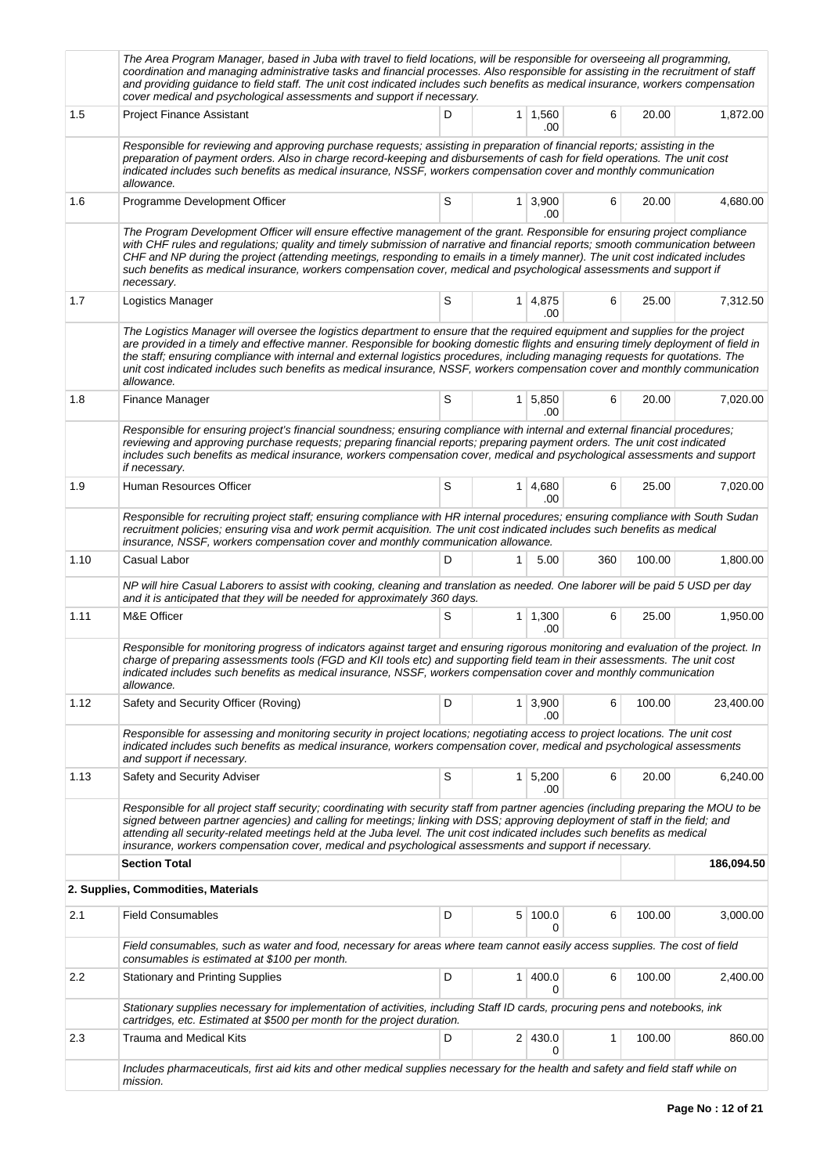|      | The Area Program Manager, based in Juba with travel to field locations, will be responsible for overseeing all programming,<br>coordination and managing administrative tasks and financial processes. Also responsible for assisting in the recruitment of staff<br>and providing guidance to field staff. The unit cost indicated includes such benefits as medical insurance, workers compensation<br>cover medical and psychological assessments and support if necessary.                                                                       |   |                |                       |              |        |            |
|------|------------------------------------------------------------------------------------------------------------------------------------------------------------------------------------------------------------------------------------------------------------------------------------------------------------------------------------------------------------------------------------------------------------------------------------------------------------------------------------------------------------------------------------------------------|---|----------------|-----------------------|--------------|--------|------------|
| 1.5  | <b>Project Finance Assistant</b>                                                                                                                                                                                                                                                                                                                                                                                                                                                                                                                     | D |                | $1 \mid 1,560$<br>.00 | 6            | 20.00  | 1,872.00   |
|      | Responsible for reviewing and approving purchase requests; assisting in preparation of financial reports; assisting in the<br>preparation of payment orders. Also in charge record-keeping and disbursements of cash for field operations. The unit cost<br>indicated includes such benefits as medical insurance, NSSF, workers compensation cover and monthly communication<br>allowance.                                                                                                                                                          |   |                |                       |              |        |            |
| 1.6  | Programme Development Officer                                                                                                                                                                                                                                                                                                                                                                                                                                                                                                                        | S |                | $1 \mid 3,900$<br>.00 | 6            | 20.00  | 4,680.00   |
|      | The Program Development Officer will ensure effective management of the grant. Responsible for ensuring project compliance<br>with CHF rules and regulations; quality and timely submission of narrative and financial reports; smooth communication between<br>CHF and NP during the project (attending meetings, responding to emails in a timely manner). The unit cost indicated includes<br>such benefits as medical insurance, workers compensation cover, medical and psychological assessments and support if<br>necessary.                  |   |                |                       |              |        |            |
| 1.7  | Logistics Manager                                                                                                                                                                                                                                                                                                                                                                                                                                                                                                                                    | S |                | 1 4,875<br>.00        | 6            | 25.00  | 7,312.50   |
|      | The Logistics Manager will oversee the logistics department to ensure that the required equipment and supplies for the project<br>are provided in a timely and effective manner. Responsible for booking domestic flights and ensuring timely deployment of field in<br>the staff; ensuring compliance with internal and external logistics procedures, including managing requests for quotations. The<br>unit cost indicated includes such benefits as medical insurance, NSSF, workers compensation cover and monthly communication<br>allowance. |   |                |                       |              |        |            |
| 1.8  | Finance Manager                                                                                                                                                                                                                                                                                                                                                                                                                                                                                                                                      | S |                | $1 \mid 5,850$<br>.00 | 6            | 20.00  | 7,020.00   |
|      | Responsible for ensuring project's financial soundness; ensuring compliance with internal and external financial procedures;<br>reviewing and approving purchase requests; preparing financial reports; preparing payment orders. The unit cost indicated<br>includes such benefits as medical insurance, workers compensation cover, medical and psychological assessments and support<br>if necessary.                                                                                                                                             |   |                |                       |              |        |            |
| 1.9  | Human Resources Officer                                                                                                                                                                                                                                                                                                                                                                                                                                                                                                                              | S |                | 1 4,680<br>.00        | 6            | 25.00  | 7,020.00   |
|      | Responsible for recruiting project staff; ensuring compliance with HR internal procedures; ensuring compliance with South Sudan<br>recruitment policies; ensuring visa and work permit acquisition. The unit cost indicated includes such benefits as medical<br>insurance, NSSF, workers compensation cover and monthly communication allowance.                                                                                                                                                                                                    |   |                |                       |              |        |            |
| 1.10 | Casual Labor                                                                                                                                                                                                                                                                                                                                                                                                                                                                                                                                         | D | 1              | 5.00                  | 360          | 100.00 | 1,800.00   |
|      | NP will hire Casual Laborers to assist with cooking, cleaning and translation as needed. One laborer will be paid 5 USD per day<br>and it is anticipated that they will be needed for approximately 360 days.                                                                                                                                                                                                                                                                                                                                        |   |                |                       |              |        |            |
| 1.11 | M&E Officer                                                                                                                                                                                                                                                                                                                                                                                                                                                                                                                                          | S |                | $1 \mid 1,300$<br>.00 | 6            | 25.00  | 1,950.00   |
|      | Responsible for monitoring progress of indicators against target and ensuring rigorous monitoring and evaluation of the project. In<br>charge of preparing assessments tools (FGD and KII tools etc) and supporting field team in their assessments. The unit cost<br>indicated includes such benefits as medical insurance, NSSF, workers compensation cover and monthly communication<br>allowance.                                                                                                                                                |   |                |                       |              |        |            |
| 1.12 | Safety and Security Officer (Roving)                                                                                                                                                                                                                                                                                                                                                                                                                                                                                                                 | D | 1 <sup>1</sup> | 3,900<br>.00          | 6            | 100.00 | 23,400.00  |
|      | Responsible for assessing and monitoring security in project locations; negotiating access to project locations. The unit cost<br>indicated includes such benefits as medical insurance, workers compensation cover, medical and psychological assessments<br>and support if necessary.                                                                                                                                                                                                                                                              |   |                |                       |              |        |            |
| 1.13 | Safety and Security Adviser                                                                                                                                                                                                                                                                                                                                                                                                                                                                                                                          | S |                | $1 \mid 5,200$<br>.00 | 6            | 20.00  | 6,240.00   |
|      | Responsible for all project staff security; coordinating with security staff from partner agencies (including preparing the MOU to be<br>signed between partner agencies) and calling for meetings; linking with DSS; approving deployment of staff in the field; and<br>attending all security-related meetings held at the Juba level. The unit cost indicated includes such benefits as medical<br>insurance, workers compensation cover, medical and psychological assessments and support if necessary.                                         |   |                |                       |              |        |            |
|      | <b>Section Total</b>                                                                                                                                                                                                                                                                                                                                                                                                                                                                                                                                 |   |                |                       |              |        | 186,094.50 |
|      | 2. Supplies, Commodities, Materials                                                                                                                                                                                                                                                                                                                                                                                                                                                                                                                  |   |                |                       |              |        |            |
| 2.1  | <b>Field Consumables</b>                                                                                                                                                                                                                                                                                                                                                                                                                                                                                                                             | D |                | 5 100.0<br>0          | 6            | 100.00 | 3,000.00   |
|      | Field consumables, such as water and food, necessary for areas where team cannot easily access supplies. The cost of field<br>consumables is estimated at \$100 per month.                                                                                                                                                                                                                                                                                                                                                                           |   |                |                       |              |        |            |
| 2.2  | <b>Stationary and Printing Supplies</b>                                                                                                                                                                                                                                                                                                                                                                                                                                                                                                              | D | $\mathbf{1}$   | 400.0<br>0            | 6            | 100.00 | 2,400.00   |
|      | Stationary supplies necessary for implementation of activities, including Staff ID cards, procuring pens and notebooks, ink<br>cartridges, etc. Estimated at \$500 per month for the project duration.                                                                                                                                                                                                                                                                                                                                               |   |                |                       |              |        |            |
| 2.3  | <b>Trauma and Medical Kits</b>                                                                                                                                                                                                                                                                                                                                                                                                                                                                                                                       | D |                | 2 430.0<br>0          | $\mathbf{1}$ | 100.00 | 860.00     |
|      | Includes pharmaceuticals, first aid kits and other medical supplies necessary for the health and safety and field staff while on<br>mission.                                                                                                                                                                                                                                                                                                                                                                                                         |   |                |                       |              |        |            |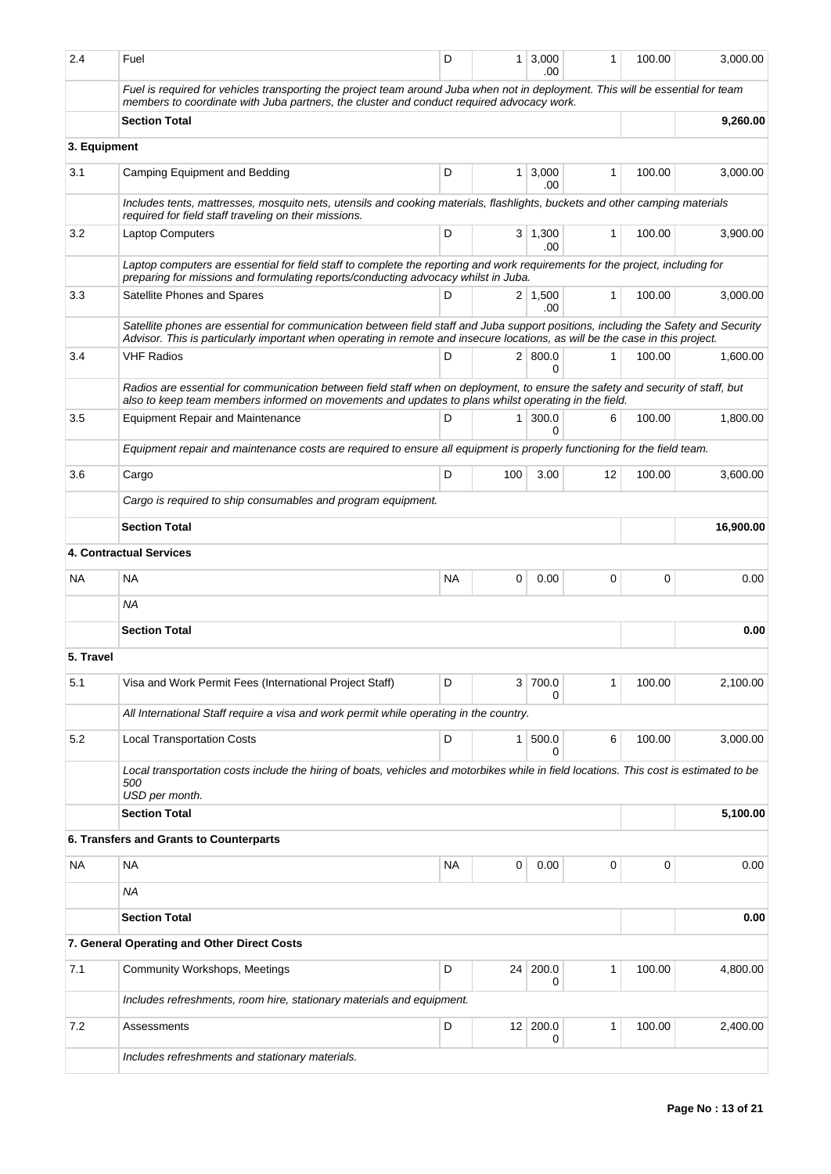| 2.4          | Fuel                                                                                                                                                                                                                                                                | D         | 1 <sup>1</sup> | 3,000<br>.00          | 1            | 100.00      | 3,000.00  |
|--------------|---------------------------------------------------------------------------------------------------------------------------------------------------------------------------------------------------------------------------------------------------------------------|-----------|----------------|-----------------------|--------------|-------------|-----------|
|              | Fuel is required for vehicles transporting the project team around Juba when not in deployment. This will be essential for team<br>members to coordinate with Juba partners, the cluster and conduct required advocacy work.                                        |           |                |                       |              |             |           |
|              | <b>Section Total</b>                                                                                                                                                                                                                                                |           |                |                       |              |             | 9,260.00  |
| 3. Equipment |                                                                                                                                                                                                                                                                     |           |                |                       |              |             |           |
| 3.1          | Camping Equipment and Bedding                                                                                                                                                                                                                                       | D         | 1              | 3,000<br>.00          | 1            | 100.00      | 3,000.00  |
|              | Includes tents, mattresses, mosquito nets, utensils and cooking materials, flashlights, buckets and other camping materials<br>required for field staff traveling on their missions.                                                                                |           |                |                       |              |             |           |
| 3.2          | <b>Laptop Computers</b>                                                                                                                                                                                                                                             | D         |                | 3   1,300<br>.00      | 1            | 100.00      | 3,900.00  |
|              | Laptop computers are essential for field staff to complete the reporting and work requirements for the project, including for<br>preparing for missions and formulating reports/conducting advocacy whilst in Juba.                                                 |           |                |                       |              |             |           |
| 3.3          | Satellite Phones and Spares                                                                                                                                                                                                                                         | D         |                | $2 \mid 1,500$<br>.00 | 1            | 100.00      | 3,000.00  |
|              | Satellite phones are essential for communication between field staff and Juba support positions, including the Safety and Security<br>Advisor. This is particularly important when operating in remote and insecure locations, as will be the case in this project. |           |                |                       |              |             |           |
| 3.4          | <b>VHF Radios</b>                                                                                                                                                                                                                                                   | D         |                | 2   800.0<br>0        | 1            | 100.00      | 1,600.00  |
|              | Radios are essential for communication between field staff when on deployment, to ensure the safety and security of staff, but<br>also to keep team members informed on movements and updates to plans whilst operating in the field.                               |           |                |                       |              |             |           |
| 3.5          | <b>Equipment Repair and Maintenance</b>                                                                                                                                                                                                                             | D         | $\mathbf{1}$   | 300.0<br>$\Omega$     | 6            | 100.00      | 1,800.00  |
|              | Equipment repair and maintenance costs are required to ensure all equipment is properly functioning for the field team.                                                                                                                                             |           |                |                       |              |             |           |
| 3.6          | Cargo                                                                                                                                                                                                                                                               | D         | 100            | 3.00                  | 12           | 100.00      | 3,600.00  |
|              | Cargo is required to ship consumables and program equipment.                                                                                                                                                                                                        |           |                |                       |              |             |           |
|              | <b>Section Total</b>                                                                                                                                                                                                                                                |           |                |                       |              |             | 16,900.00 |
|              | 4. Contractual Services                                                                                                                                                                                                                                             |           |                |                       |              |             |           |
| NA.          | <b>NA</b>                                                                                                                                                                                                                                                           | <b>NA</b> | 0              | 0.00                  | 0            | $\mathbf 0$ | 0.00      |
|              | <b>NA</b>                                                                                                                                                                                                                                                           |           |                |                       |              |             |           |
|              | <b>Section Total</b>                                                                                                                                                                                                                                                |           |                |                       |              |             | 0.00      |
| 5. Travel    |                                                                                                                                                                                                                                                                     |           |                |                       |              |             |           |
| 5.1          | Visa and Work Permit Fees (International Project Staff)                                                                                                                                                                                                             | D         |                | 3 700.0<br>0          | $\mathbf{1}$ | 100.00      | 2,100.00  |
|              | All International Staff require a visa and work permit while operating in the country.                                                                                                                                                                              |           |                |                       |              |             |           |
| 5.2          | <b>Local Transportation Costs</b>                                                                                                                                                                                                                                   | D         | 1              | 500.0<br>0            | 6            | 100.00      | 3,000.00  |
|              | Local transportation costs include the hiring of boats, vehicles and motorbikes while in field locations. This cost is estimated to be<br>500<br>USD per month.                                                                                                     |           |                |                       |              |             |           |
|              | <b>Section Total</b>                                                                                                                                                                                                                                                |           |                |                       |              |             | 5,100.00  |
|              | 6. Transfers and Grants to Counterparts                                                                                                                                                                                                                             |           |                |                       |              |             |           |
| <b>NA</b>    | <b>NA</b>                                                                                                                                                                                                                                                           | <b>NA</b> | $\mathbf 0$    | 0.00                  | $\mathbf 0$  | $\mathbf 0$ | 0.00      |
|              | <b>NA</b>                                                                                                                                                                                                                                                           |           |                |                       |              |             |           |
|              | <b>Section Total</b>                                                                                                                                                                                                                                                |           |                |                       |              |             | 0.00      |
|              | 7. General Operating and Other Direct Costs                                                                                                                                                                                                                         |           |                |                       |              |             |           |
| 7.1          | Community Workshops, Meetings                                                                                                                                                                                                                                       | D         | 24             | 200.0<br>0            | 1            | 100.00      | 4,800.00  |
|              | Includes refreshments, room hire, stationary materials and equipment.                                                                                                                                                                                               |           |                |                       |              |             |           |
| 7.2          | Assessments                                                                                                                                                                                                                                                         | D         |                | 12 200.0              | 1            | 100.00      | 2,400.00  |
|              |                                                                                                                                                                                                                                                                     |           |                | 0                     |              |             |           |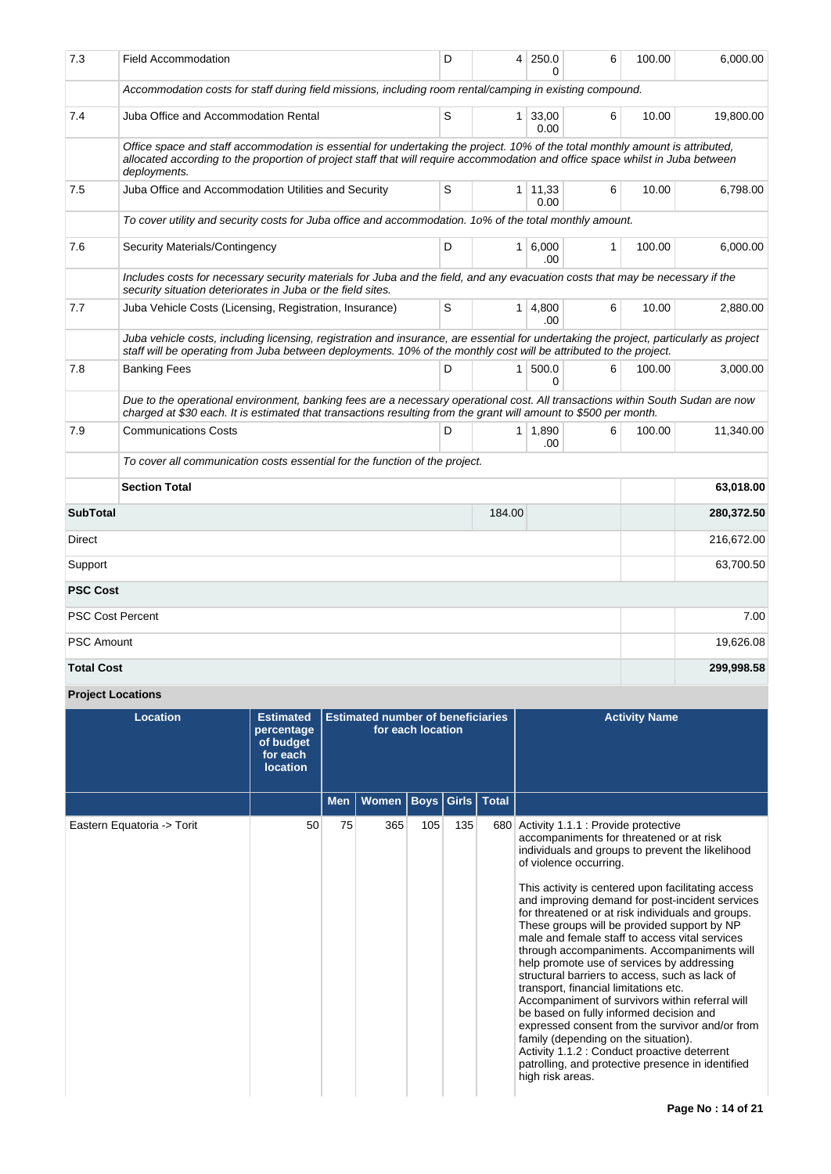| 7.3               | <b>Field Accommodation</b>                                                                                                                                                                                                                                                      | D | 4      | 250.0<br>0             | 6 | 100.00 | 6,000.00   |
|-------------------|---------------------------------------------------------------------------------------------------------------------------------------------------------------------------------------------------------------------------------------------------------------------------------|---|--------|------------------------|---|--------|------------|
|                   | Accommodation costs for staff during field missions, including room rental/camping in existing compound.                                                                                                                                                                        |   |        |                        |   |        |            |
| 7.4               | Juba Office and Accommodation Rental                                                                                                                                                                                                                                            | S |        | $1 \mid 33,00$<br>0.00 | 6 | 10.00  | 19,800.00  |
|                   | Office space and staff accommodation is essential for undertaking the project. 10% of the total monthly amount is attributed,<br>allocated according to the proportion of project staff that will require accommodation and office space whilst in Juba between<br>deployments. |   |        |                        |   |        |            |
| 7.5               | Juba Office and Accommodation Utilities and Security                                                                                                                                                                                                                            | S |        | $1 \mid 11,33$<br>0.00 | 6 | 10.00  | 6,798.00   |
|                   | To cover utility and security costs for Juba office and accommodation. 10% of the total monthly amount.                                                                                                                                                                         |   |        |                        |   |        |            |
| 7.6               | Security Materials/Contingency                                                                                                                                                                                                                                                  | D |        | $1 \ 6.000$<br>.00     | 1 | 100.00 | 6.000.00   |
|                   | Includes costs for necessary security materials for Juba and the field, and any evacuation costs that may be necessary if the<br>security situation deteriorates in Juba or the field sites.                                                                                    |   |        |                        |   |        |            |
| 7.7               | Juba Vehicle Costs (Licensing, Registration, Insurance)                                                                                                                                                                                                                         | S |        | $1 \mid 4,800$<br>.00  | 6 | 10.00  | 2,880.00   |
|                   | Juba vehicle costs, including licensing, registration and insurance, are essential for undertaking the project, particularly as project<br>staff will be operating from Juba between deployments. 10% of the monthly cost will be attributed to the project.                    |   |        |                        |   |        |            |
| 7.8               | <b>Banking Fees</b>                                                                                                                                                                                                                                                             | D |        | 1   500.0<br>$\Omega$  | 6 | 100.00 | 3,000.00   |
|                   | Due to the operational environment, banking fees are a necessary operational cost. All transactions within South Sudan are now<br>charged at \$30 each. It is estimated that transactions resulting from the grant will amount to \$500 per month.                              |   |        |                        |   |        |            |
| 7.9               | <b>Communications Costs</b>                                                                                                                                                                                                                                                     | D |        | $1 \mid 1,890$<br>.00  | 6 | 100.00 | 11,340.00  |
|                   | To cover all communication costs essential for the function of the project.                                                                                                                                                                                                     |   |        |                        |   |        |            |
|                   | <b>Section Total</b>                                                                                                                                                                                                                                                            |   |        |                        |   |        | 63,018.00  |
| <b>SubTotal</b>   |                                                                                                                                                                                                                                                                                 |   | 184.00 |                        |   |        | 280,372.50 |
| Direct            |                                                                                                                                                                                                                                                                                 |   |        |                        |   |        | 216,672.00 |
| Support           |                                                                                                                                                                                                                                                                                 |   |        |                        |   |        | 63,700.50  |
| <b>PSC Cost</b>   |                                                                                                                                                                                                                                                                                 |   |        |                        |   |        |            |
|                   | <b>PSC Cost Percent</b>                                                                                                                                                                                                                                                         |   |        |                        |   |        | 7.00       |
| <b>PSC Amount</b> |                                                                                                                                                                                                                                                                                 |   |        |                        |   |        | 19,626.08  |
| <b>Total Cost</b> |                                                                                                                                                                                                                                                                                 |   |        |                        |   |        | 299,998.58 |

# **Project Locations**

| <b>Location</b>            | <b>Estimated</b><br>percentage<br>of budget<br>for each<br><b>location</b> |            | <b>Estimated number of beneficiaries</b> | for each location |                   |              | <b>Activity Name</b>                                                                                                                                                                                                                                                                                                                                                                                                                                                                                                                                                                                                                                                                                                                                                                                                                                                                                                                       |
|----------------------------|----------------------------------------------------------------------------|------------|------------------------------------------|-------------------|-------------------|--------------|--------------------------------------------------------------------------------------------------------------------------------------------------------------------------------------------------------------------------------------------------------------------------------------------------------------------------------------------------------------------------------------------------------------------------------------------------------------------------------------------------------------------------------------------------------------------------------------------------------------------------------------------------------------------------------------------------------------------------------------------------------------------------------------------------------------------------------------------------------------------------------------------------------------------------------------------|
|                            |                                                                            | <b>Men</b> | <b>Women</b>                             |                   | <b>Boys</b> Girls | <b>Total</b> |                                                                                                                                                                                                                                                                                                                                                                                                                                                                                                                                                                                                                                                                                                                                                                                                                                                                                                                                            |
| Eastern Equatoria -> Torit | 50                                                                         | 75         | 365                                      | 105               | 135               |              | 680 Activity 1.1.1 : Provide protective<br>accompaniments for threatened or at risk<br>individuals and groups to prevent the likelihood<br>of violence occurring.<br>This activity is centered upon facilitating access<br>and improving demand for post-incident services<br>for threatened or at risk individuals and groups.<br>These groups will be provided support by NP<br>male and female staff to access vital services<br>through accompaniments. Accompaniments will<br>help promote use of services by addressing<br>structural barriers to access, such as lack of<br>transport, financial limitations etc.<br>Accompaniment of survivors within referral will<br>be based on fully informed decision and<br>expressed consent from the survivor and/or from<br>family (depending on the situation).<br>Activity 1.1.2 : Conduct proactive deterrent<br>patrolling, and protective presence in identified<br>high risk areas. |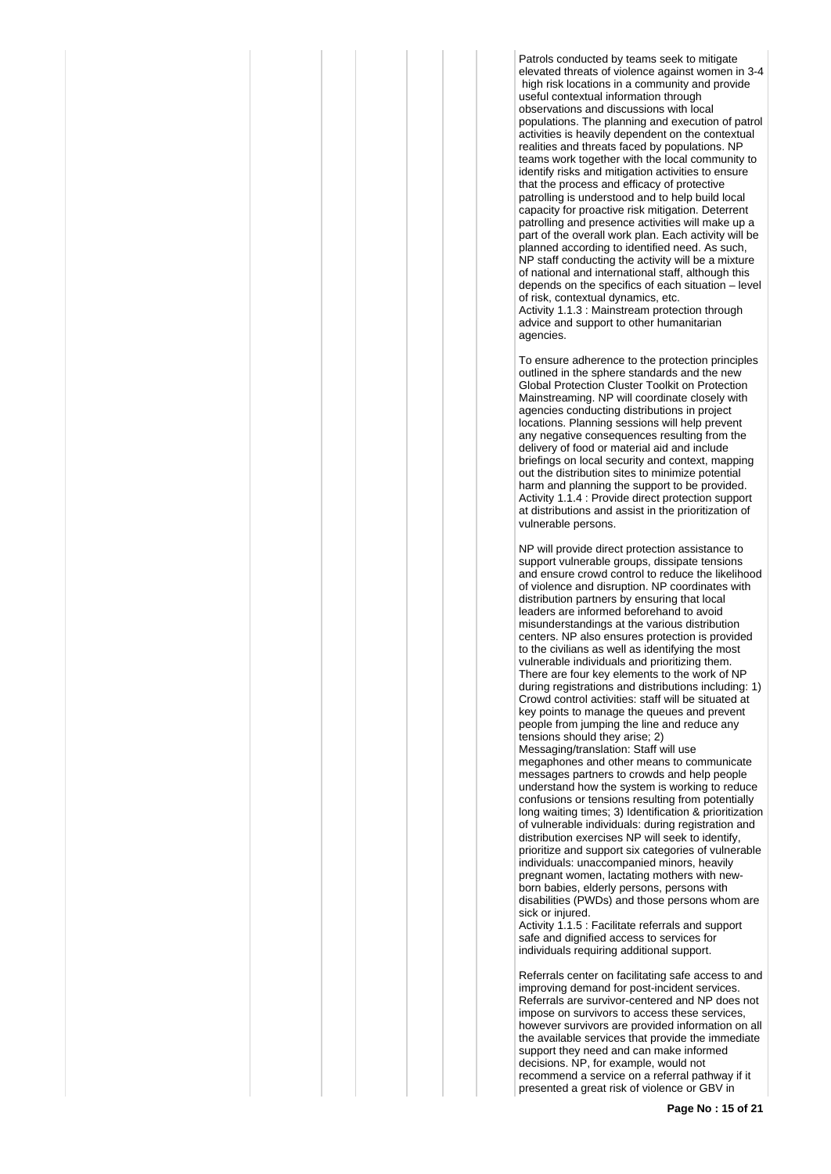Patrols conducted by teams seek to mitigate elevated threats of violence against women in 3-4 high risk locations in a community and provide useful contextual information through observations and discussions with local populations. The planning and execution of patrol activities is heavily dependent on the contextual realities and threats faced by populations. NP teams work together with the local community to identify risks and mitigation activities to ensure that the process and efficacy of protective patrolling is understood and to help build local capacity for proactive risk mitigation. Deterrent patrolling and presence activities will make up a part of the overall work plan. Each activity will be planned according to identified need. As such, NP staff conducting the activity will be a mixture of national and international staff, although this depends on the specifics of each situation – level of risk, contextual dynamics, etc. Activity 1.1.3 : Mainstream protection through advice and support to other humanitarian agencies.

To ensure adherence to the protection principles outlined in the sphere standards and the new Global Protection Cluster Toolkit on Protection Mainstreaming. NP will coordinate closely with agencies conducting distributions in project locations. Planning sessions will help prevent any negative consequences resulting from the delivery of food or material aid and include briefings on local security and context, mapping out the distribution sites to minimize potential harm and planning the support to be provided. Activity 1.1.4 : Provide direct protection support at distributions and assist in the prioritization of vulnerable persons.

NP will provide direct protection assistance to support vulnerable groups, dissipate tensions and ensure crowd control to reduce the likelihood of violence and disruption. NP coordinates with distribution partners by ensuring that local leaders are informed beforehand to avoid misunderstandings at the various distribution centers. NP also ensures protection is provided to the civilians as well as identifying the most vulnerable individuals and prioritizing them. There are four key elements to the work of NP during registrations and distributions including: 1) Crowd control activities: staff will be situated at key points to manage the queues and prevent people from jumping the line and reduce any tensions should they arise; 2) Messaging/translation: Staff will use megaphones and other means to communicate messages partners to crowds and help people understand how the system is working to reduce confusions or tensions resulting from potentially long waiting times; 3) Identification & prioritization of vulnerable individuals: during registration and distribution exercises NP will seek to identify, prioritize and support six categories of vulnerable individuals: unaccompanied minors, heavily pregnant women, lactating mothers with newborn babies, elderly persons, persons with disabilities (PWDs) and those persons whom are sick or injured.

Activity 1.1.5 : Facilitate referrals and support safe and dignified access to services for individuals requiring additional support.

Referrals center on facilitating safe access to and improving demand for post-incident services. Referrals are survivor-centered and NP does not impose on survivors to access these services, however survivors are provided information on all the available services that provide the immediate support they need and can make informed decisions. NP, for example, would not recommend a service on a referral pathway if it presented a great risk of violence or GBV in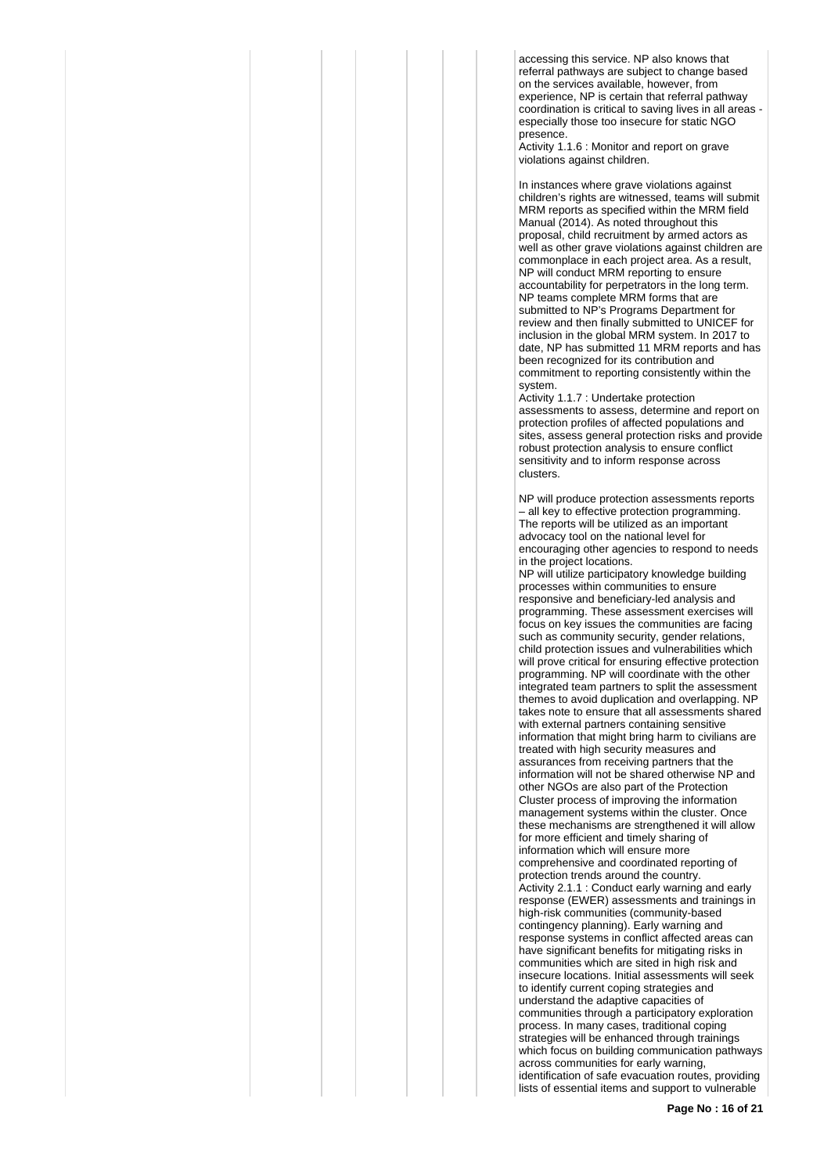accessing this service. NP also knows that referral pathways are subject to change based on the services available, however, from experience, NP is certain that referral pathway coordination is critical to saving lives in all areas especially those too insecure for static NGO presence.

Activity 1.1.6 : Monitor and report on grave violations against children.

In instances where grave violations against children's rights are witnessed, teams will submit MRM reports as specified within the MRM field Manual (2014). As noted throughout this proposal, child recruitment by armed actors as well as other grave violations against children are commonplace in each project area. As a result, NP will conduct MRM reporting to ensure accountability for perpetrators in the long term. NP teams complete MRM forms that are submitted to NP's Programs Department for review and then finally submitted to UNICEF for inclusion in the global MRM system. In 2017 to date, NP has submitted 11 MRM reports and has been recognized for its contribution and commitment to reporting consistently within the system.

Activity 1.1.7 : Undertake protection assessments to assess, determine and report on protection profiles of affected populations and sites, assess general protection risks and provide robust protection analysis to ensure conflict sensitivity and to inform response across clusters.

NP will produce protection assessments reports – all key to effective protection programming. The reports will be utilized as an important advocacy tool on the national level for encouraging other agencies to respond to needs in the project locations.

NP will utilize participatory knowledge building processes within communities to ensure responsive and beneficiary-led analysis and programming. These assessment exercises will focus on key issues the communities are facing such as community security, gender relations, child protection issues and vulnerabilities which will prove critical for ensuring effective protection programming. NP will coordinate with the other integrated team partners to split the assessment themes to avoid duplication and overlapping. NP takes note to ensure that all assessments shared with external partners containing sensitive information that might bring harm to civilians are treated with high security measures and assurances from receiving partners that the information will not be shared otherwise NP and other NGOs are also part of the Protection Cluster process of improving the information management systems within the cluster. Once these mechanisms are strengthened it will allow for more efficient and timely sharing of information which will ensure more comprehensive and coordinated reporting of protection trends around the country. Activity 2.1.1 : Conduct early warning and early response (EWER) assessments and trainings in high-risk communities (community-based contingency planning). Early warning and response systems in conflict affected areas can have significant benefits for mitigating risks in communities which are sited in high risk and insecure locations. Initial assessments will seek to identify current coping strategies and understand the adaptive capacities of communities through a participatory exploration process. In many cases, traditional coping strategies will be enhanced through trainings which focus on building communication pathways across communities for early warning, identification of safe evacuation routes, providing lists of essential items and support to vulnerable

**Page No : 16 of 21**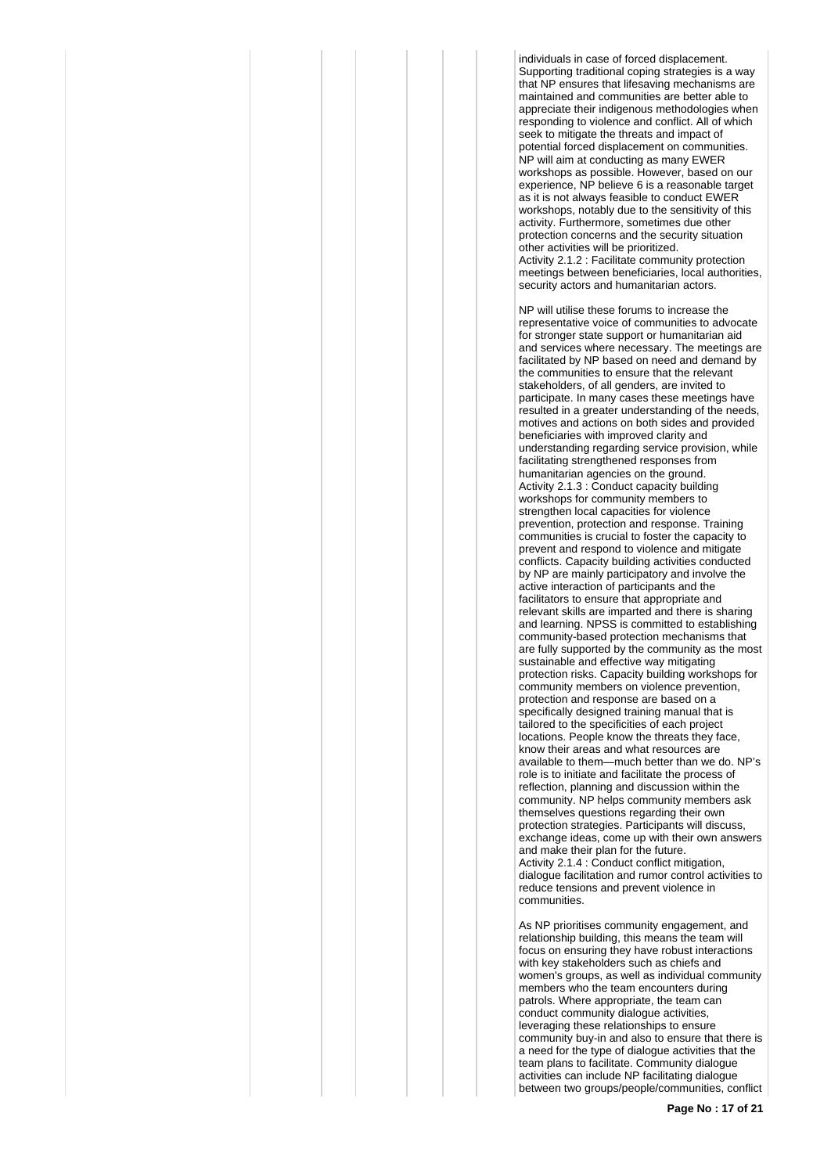individuals in case of forced displacement. Supporting traditional coping strategies is a way that NP ensures that lifesaving mechanisms are maintained and communities are better able to appreciate their indigenous methodologies when responding to violence and conflict. All of which seek to mitigate the threats and impact of potential forced displacement on communities. NP will aim at conducting as many EWER workshops as possible. However, based on our experience, NP believe 6 is a reasonable target as it is not always feasible to conduct EWER workshops, notably due to the sensitivity of this activity. Furthermore, sometimes due other protection concerns and the security situation other activities will be prioritized. Activity 2.1.2 : Facilitate community protection meetings between beneficiaries, local authorities, security actors and humanitarian actors.

NP will utilise these forums to increase the representative voice of communities to advocate for stronger state support or humanitarian aid and services where necessary. The meetings are facilitated by NP based on need and demand by the communities to ensure that the relevant stakeholders, of all genders, are invited to participate. In many cases these meetings have resulted in a greater understanding of the needs, motives and actions on both sides and provided beneficiaries with improved clarity and understanding regarding service provision, while facilitating strengthened responses from humanitarian agencies on the ground. Activity 2.1.3 : Conduct capacity building workshops for community members to strengthen local capacities for violence prevention, protection and response. Training communities is crucial to foster the capacity to prevent and respond to violence and mitigate conflicts. Capacity building activities conducted by NP are mainly participatory and involve the active interaction of participants and the facilitators to ensure that appropriate and relevant skills are imparted and there is sharing and learning. NPSS is committed to establishing community-based protection mechanisms that are fully supported by the community as the most sustainable and effective way mitigating protection risks. Capacity building workshops for community members on violence prevention, protection and response are based on a specifically designed training manual that is tailored to the specificities of each project locations. People know the threats they face, know their areas and what resources are available to them—much better than we do. NP's role is to initiate and facilitate the process of reflection, planning and discussion within the community. NP helps community members ask themselves questions regarding their own protection strategies. Participants will discuss, exchange ideas, come up with their own answers and make their plan for the future. Activity 2.1.4 : Conduct conflict mitigation, dialogue facilitation and rumor control activities to reduce tensions and prevent violence in communities.

As NP prioritises community engagement, and relationship building, this means the team will focus on ensuring they have robust interactions with key stakeholders such as chiefs and women's groups, as well as individual community members who the team encounters during patrols. Where appropriate, the team can conduct community dialogue activities, leveraging these relationships to ensure community buy-in and also to ensure that there is a need for the type of dialogue activities that the team plans to facilitate. Community dialogue activities can include NP facilitating dialogue between two groups/people/communities, conflict

**Page No : 17 of 21**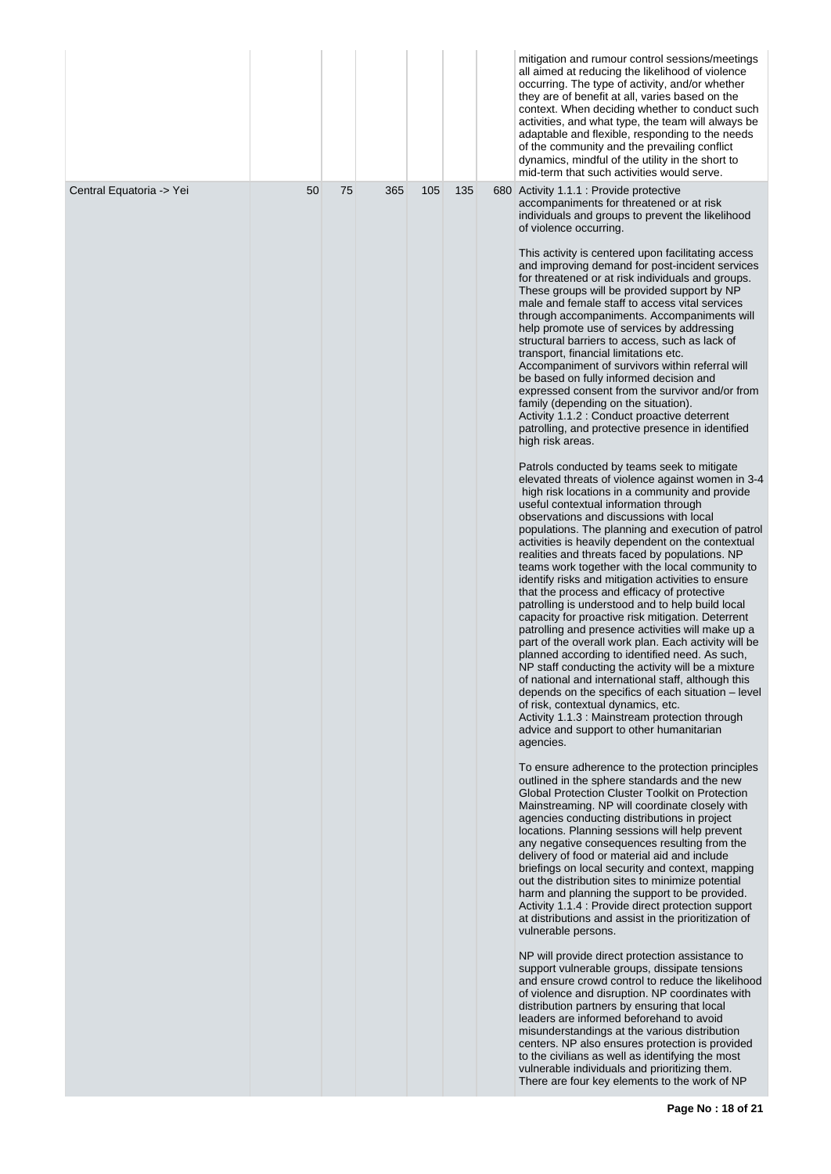|                          |    |    |     |     |     | mitigation and rumour control sessions/meetings<br>all aimed at reducing the likelihood of violence<br>occurring. The type of activity, and/or whether<br>they are of benefit at all, varies based on the<br>context. When deciding whether to conduct such<br>activities, and what type, the team will always be<br>adaptable and flexible, responding to the needs<br>of the community and the prevailing conflict<br>dynamics, mindful of the utility in the short to<br>mid-term that such activities would serve.                                                                                                                                                                                                                                                                                                                                                                                                                                                                                                                                                                                                                                                                                                                                                                                                                                                                                                                                                                                                                                                                                                                                                                                                                                                                                                                                                                                                                                                                                                                                                                                                                                                                                                                                                                                                                                                                                                                                                                                                                                                                                                                                                                                                                                                                                                                                                                                                                                                                                                                                                                                                                                                                                                                                                                                                                                                         |
|--------------------------|----|----|-----|-----|-----|--------------------------------------------------------------------------------------------------------------------------------------------------------------------------------------------------------------------------------------------------------------------------------------------------------------------------------------------------------------------------------------------------------------------------------------------------------------------------------------------------------------------------------------------------------------------------------------------------------------------------------------------------------------------------------------------------------------------------------------------------------------------------------------------------------------------------------------------------------------------------------------------------------------------------------------------------------------------------------------------------------------------------------------------------------------------------------------------------------------------------------------------------------------------------------------------------------------------------------------------------------------------------------------------------------------------------------------------------------------------------------------------------------------------------------------------------------------------------------------------------------------------------------------------------------------------------------------------------------------------------------------------------------------------------------------------------------------------------------------------------------------------------------------------------------------------------------------------------------------------------------------------------------------------------------------------------------------------------------------------------------------------------------------------------------------------------------------------------------------------------------------------------------------------------------------------------------------------------------------------------------------------------------------------------------------------------------------------------------------------------------------------------------------------------------------------------------------------------------------------------------------------------------------------------------------------------------------------------------------------------------------------------------------------------------------------------------------------------------------------------------------------------------------------------------------------------------------------------------------------------------------------------------------------------------------------------------------------------------------------------------------------------------------------------------------------------------------------------------------------------------------------------------------------------------------------------------------------------------------------------------------------------------------------------------------------------------------------------------------------------------|
| Central Equatoria -> Yei | 50 | 75 | 365 | 105 | 135 | 680 Activity 1.1.1 : Provide protective<br>accompaniments for threatened or at risk<br>individuals and groups to prevent the likelihood<br>of violence occurring.<br>This activity is centered upon facilitating access<br>and improving demand for post-incident services<br>for threatened or at risk individuals and groups.<br>These groups will be provided support by NP<br>male and female staff to access vital services<br>through accompaniments. Accompaniments will<br>help promote use of services by addressing<br>structural barriers to access, such as lack of<br>transport, financial limitations etc.<br>Accompaniment of survivors within referral will<br>be based on fully informed decision and<br>expressed consent from the survivor and/or from<br>family (depending on the situation).<br>Activity 1.1.2 : Conduct proactive deterrent<br>patrolling, and protective presence in identified<br>high risk areas.<br>Patrols conducted by teams seek to mitigate<br>elevated threats of violence against women in 3-4<br>high risk locations in a community and provide<br>useful contextual information through<br>observations and discussions with local<br>populations. The planning and execution of patrol<br>activities is heavily dependent on the contextual<br>realities and threats faced by populations. NP<br>teams work together with the local community to<br>identify risks and mitigation activities to ensure<br>that the process and efficacy of protective<br>patrolling is understood and to help build local<br>capacity for proactive risk mitigation. Deterrent<br>patrolling and presence activities will make up a<br>part of the overall work plan. Each activity will be<br>planned according to identified need. As such,<br>NP staff conducting the activity will be a mixture<br>of national and international staff, although this<br>depends on the specifics of each situation - level<br>of risk, contextual dynamics, etc.<br>Activity 1.1.3 : Mainstream protection through<br>advice and support to other humanitarian<br>agencies.<br>To ensure adherence to the protection principles<br>outlined in the sphere standards and the new<br>Global Protection Cluster Toolkit on Protection<br>Mainstreaming. NP will coordinate closely with<br>agencies conducting distributions in project<br>locations. Planning sessions will help prevent<br>any negative consequences resulting from the<br>delivery of food or material aid and include<br>briefings on local security and context, mapping<br>out the distribution sites to minimize potential<br>harm and planning the support to be provided.<br>Activity 1.1.4 : Provide direct protection support<br>at distributions and assist in the prioritization of<br>vulnerable persons.<br>NP will provide direct protection assistance to<br>support vulnerable groups, dissipate tensions<br>and ensure crowd control to reduce the likelihood<br>of violence and disruption. NP coordinates with<br>distribution partners by ensuring that local<br>leaders are informed beforehand to avoid<br>misunderstandings at the various distribution<br>centers. NP also ensures protection is provided<br>to the civilians as well as identifying the most<br>vulnerable individuals and prioritizing them.<br>There are four key elements to the work of NP |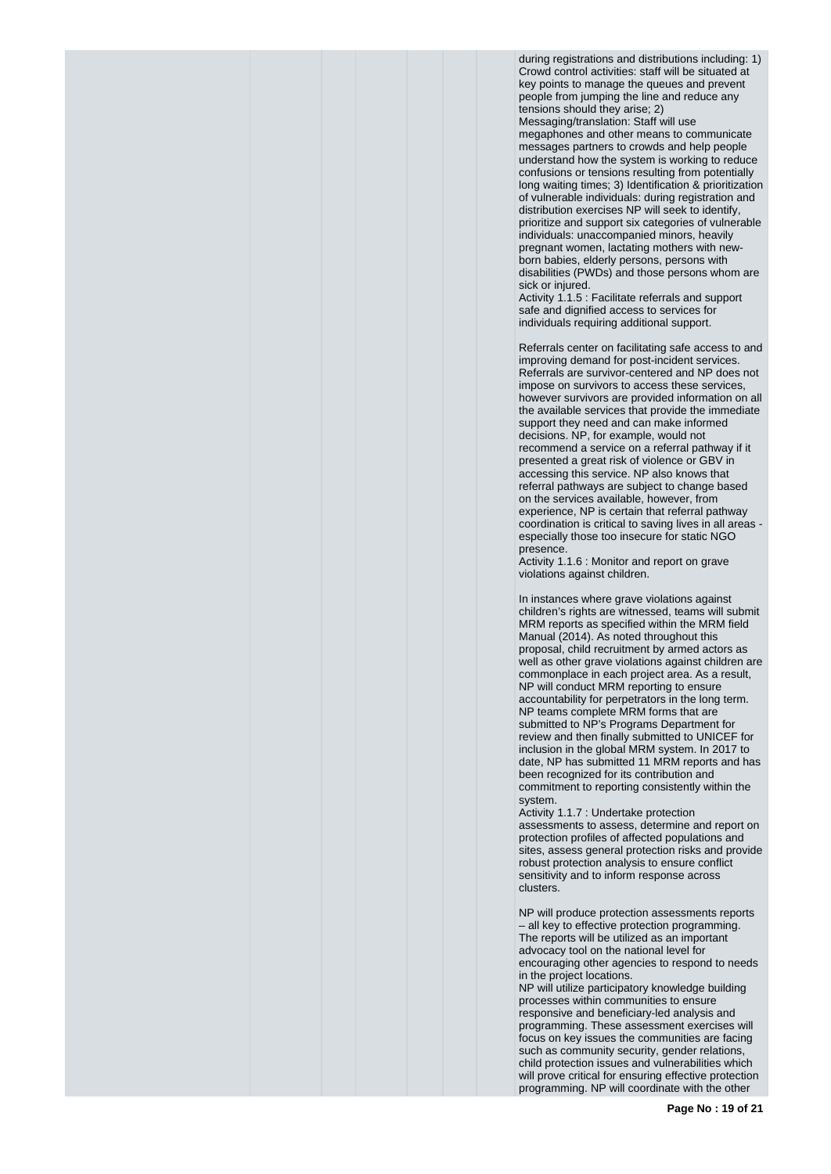during registrations and distributions including: 1) Crowd control activities: staff will be situated at key points to manage the queues and prevent people from jumping the line and reduce any tensions should they arise; 2) Messaging/translation: Staff will use megaphones and other means to communicate messages partners to crowds and help people understand how the system is working to reduce confusions or tensions resulting from potentially long waiting times; 3) Identification & prioritization of vulnerable individuals: during registration and distribution exercises NP will seek to identify, prioritize and support six categories of vulnerable individuals: unaccompanied minors, heavily pregnant women, lactating mothers with newborn babies, elderly persons, persons with disabilities (PWDs) and those persons whom are sick or injured.

Activity 1.1.5 : Facilitate referrals and support safe and dignified access to services for individuals requiring additional support.

Referrals center on facilitating safe access to and improving demand for post-incident services. Referrals are survivor-centered and NP does not impose on survivors to access these services, however survivors are provided information on all the available services that provide the immediate support they need and can make informed decisions. NP, for example, would not recommend a service on a referral pathway if it presented a great risk of violence or GBV in accessing this service. NP also knows that referral pathways are subject to change based on the services available, however, from experience, NP is certain that referral pathway coordination is critical to saving lives in all areas especially those too insecure for static NGO presence.

Activity 1.1.6 : Monitor and report on grave violations against children.

In instances where grave violations against children's rights are witnessed, teams will submit MRM reports as specified within the MRM field Manual (2014). As noted throughout this proposal, child recruitment by armed actors as well as other grave violations against children are commonplace in each project area. As a result, NP will conduct MRM reporting to ensure accountability for perpetrators in the long term. NP teams complete MRM forms that are submitted to NP's Programs Department for review and then finally submitted to UNICEF for inclusion in the global MRM system. In 2017 to date, NP has submitted 11 MRM reports and has been recognized for its contribution and commitment to reporting consistently within the system.

Activity 1.1.7 : Undertake protection assessments to assess, determine and report on protection profiles of affected populations and sites, assess general protection risks and provide robust protection analysis to ensure conflict sensitivity and to inform response across clusters.

NP will produce protection assessments reports – all key to effective protection programming. The reports will be utilized as an important advocacy tool on the national level for encouraging other agencies to respond to needs in the project locations.

NP will utilize participatory knowledge building processes within communities to ensure responsive and beneficiary-led analysis and programming. These assessment exercises will focus on key issues the communities are facing such as community security, gender relations, child protection issues and vulnerabilities which will prove critical for ensuring effective protection programming. NP will coordinate with the other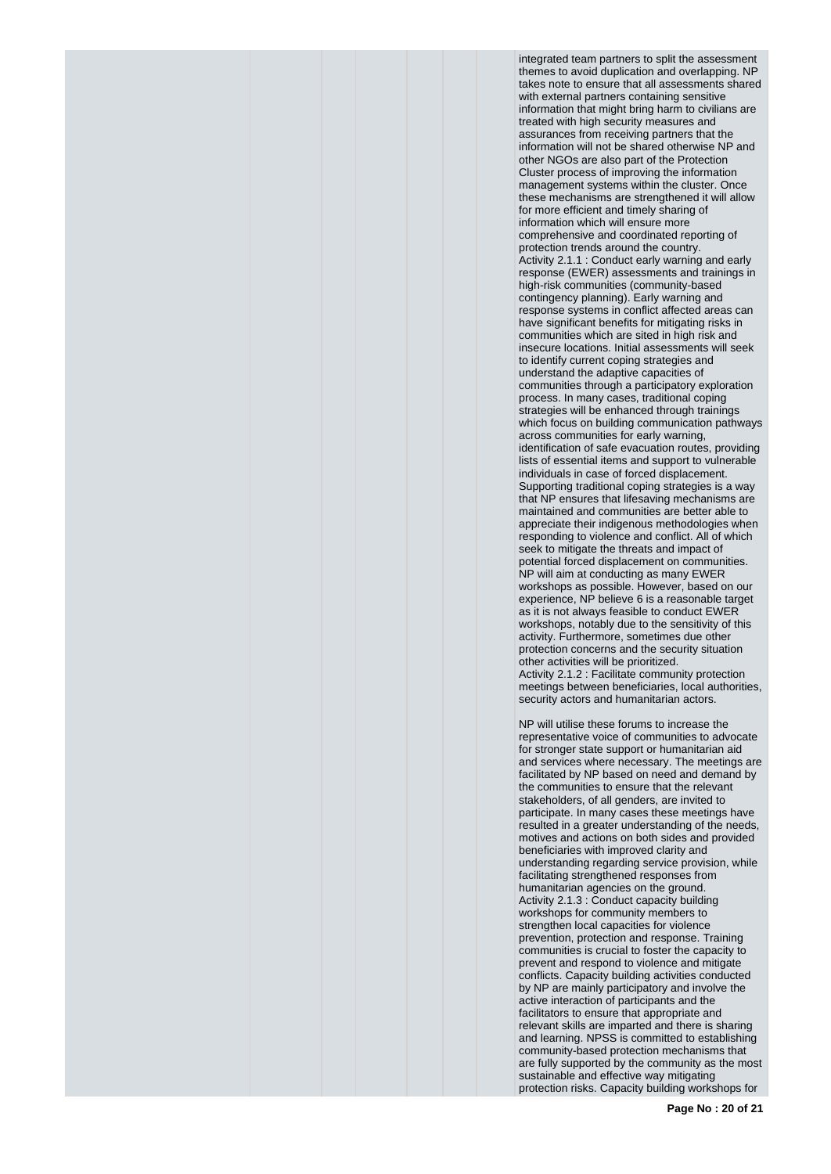integrated team partners to split the assessment themes to avoid duplication and overlapping. NP takes note to ensure that all assessments shared with external partners containing sensitive information that might bring harm to civilians are treated with high security measures and assurances from receiving partners that the information will not be shared otherwise NP and other NGOs are also part of the Protection Cluster process of improving the information management systems within the cluster. Once these mechanisms are strengthened it will allow for more efficient and timely sharing of information which will ensure more comprehensive and coordinated reporting of protection trends around the country. Activity 2.1.1 : Conduct early warning and early response (EWER) assessments and trainings in high-risk communities (community-based contingency planning). Early warning and response systems in conflict affected areas can have significant benefits for mitigating risks in communities which are sited in high risk and insecure locations. Initial assessments will seek to identify current coping strategies and understand the adaptive capacities of communities through a participatory exploration process. In many cases, traditional coping strategies will be enhanced through trainings which focus on building communication pathways across communities for early warning, identification of safe evacuation routes, providing lists of essential items and support to vulnerable individuals in case of forced displacement. Supporting traditional coping strategies is a way that NP ensures that lifesaving mechanisms are maintained and communities are better able to appreciate their indigenous methodologies when responding to violence and conflict. All of which seek to mitigate the threats and impact of potential forced displacement on communities. NP will aim at conducting as many EWER workshops as possible. However, based on our experience, NP believe 6 is a reasonable target as it is not always feasible to conduct EWER workshops, notably due to the sensitivity of this activity. Furthermore, sometimes due other protection concerns and the security situation other activities will be prioritized. Activity 2.1.2 : Facilitate community protection meetings between beneficiaries, local authorities, security actors and humanitarian actors.

NP will utilise these forums to increase the representative voice of communities to advocate for stronger state support or humanitarian aid and services where necessary. The meetings are facilitated by NP based on need and demand by the communities to ensure that the relevant stakeholders, of all genders, are invited to participate. In many cases these meetings have resulted in a greater understanding of the needs, motives and actions on both sides and provided beneficiaries with improved clarity and understanding regarding service provision, while facilitating strengthened responses from humanitarian agencies on the ground. Activity 2.1.3 : Conduct capacity building workshops for community members to strengthen local capacities for violence prevention, protection and response. Training communities is crucial to foster the capacity to prevent and respond to violence and mitigate conflicts. Capacity building activities conducted by NP are mainly participatory and involve the active interaction of participants and the facilitators to ensure that appropriate and relevant skills are imparted and there is sharing and learning. NPSS is committed to establishing community-based protection mechanisms that are fully supported by the community as the most sustainable and effective way mitigating protection risks. Capacity building workshops for

**Page No : 20 of 21**